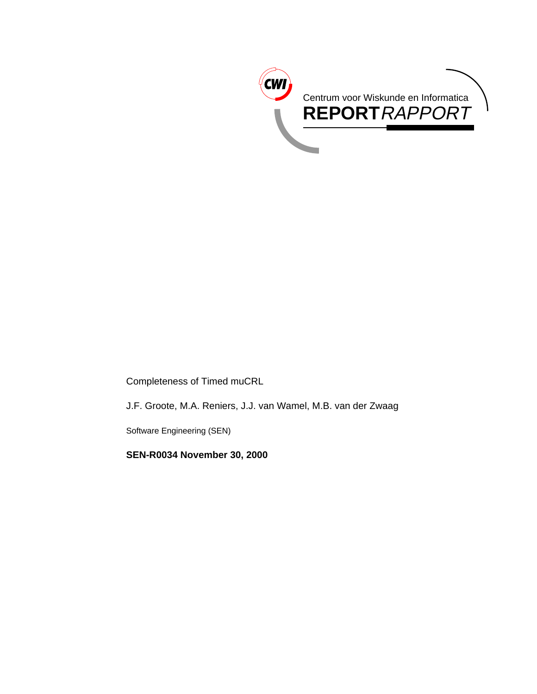

Completeness of Timed muCRL

J.F. Groote, M.A. Reniers, J.J. van Wamel, M.B. van der Zwaag

Software Engineering (SEN)

**SEN-R0034 November 30, 2000**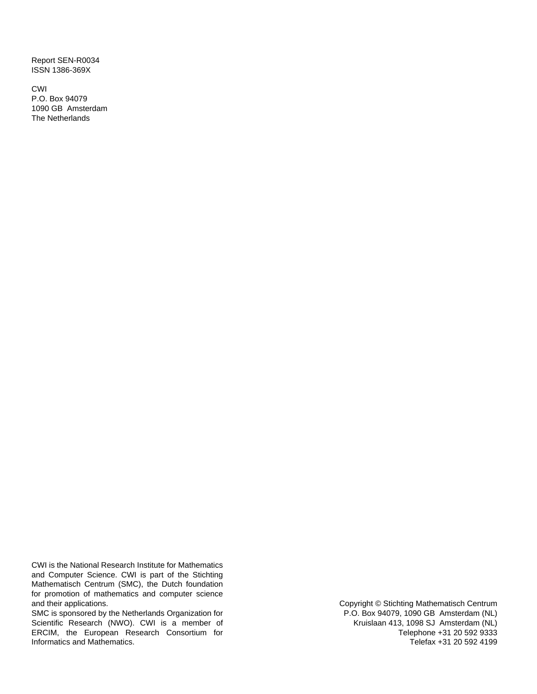Report SEN-R0034 ISSN 1386-369X

CWI P.O. Box 94079 1090 GB Amsterdam The Netherlands

CWI is the National Research Institute for Mathematics and Computer Science. CWI is part of the Stichting Mathematisch Centrum (SMC), the Dutch foundation for promotion of mathematics and computer science and their applications.

SMC is sponsored by the Netherlands Organization for Scientific Research (NWO). CWI is a member of ERCIM, the European Research Consortium for Informatics and Mathematics.

Copyright © Stichting Mathematisch Centrum P.O. Box 94079, 1090 GB Amsterdam (NL) Kruislaan 413, 1098 SJ Amsterdam (NL) Telephone +31 20 592 9333 Telefax +31 20 592 4199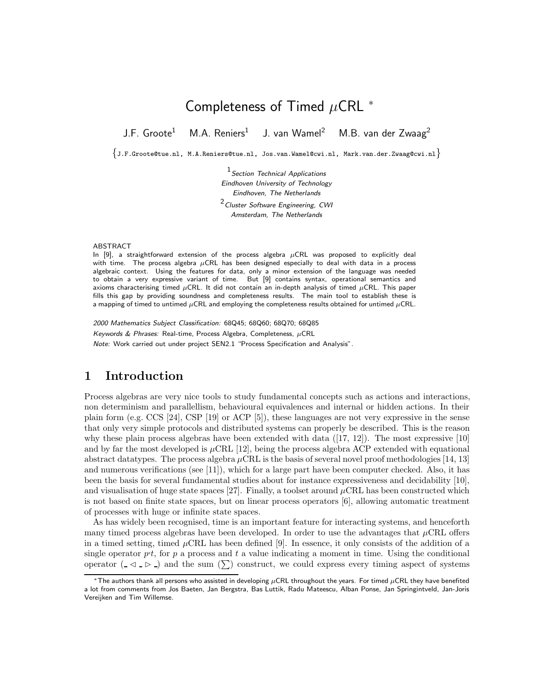# Completeness of Timed  $\mu$ CRL  $^*$

J.F. Groote<sup>1</sup> M.A. Reniers<sup>1</sup> J. van Wamel<sup>2</sup> M.B. van der Zwaag<sup>2</sup>

 $\{J.F.Groote@tue.nl, M.A.Reniers@tue.nl, Jos.van.Wamel@cwi.nl, Mark.van.der.Zwaag@cwi.nl\}$ 

 $<sup>1</sup>$  Section Technical Applications</sup> Eindhoven University of Technology Eindhoven, The Netherlands <sup>2</sup> Cluster Software Engineering, CWI Amsterdam, The Netherlands

#### ABSTRACT

In [9], a straightforward extension of the process algebra  $\mu$ CRL was proposed to explicitly deal with time. The process algebra  $\mu$ CRL has been designed especially to deal with data in a process algebraic context. Using the features for data, only a minor extension of the language was needed to obtain a very expressive variant of time. But [9] contains syntax, operational semantics and axioms characterising timed  $\mu$ CRL. It did not contain an in-depth analysis of timed  $\mu$ CRL. This paper fills this gap by providing soundness and completeness results. The main tool to establish these is a mapping of timed to untimed  $\mu$ CRL and employing the completeness results obtained for untimed  $\mu$ CRL.

2000 Mathematics Subject Classification: 68Q45; 68Q60; 68Q70; 68Q85 Keywords & Phrases: Real-time, Process Algebra, Completeness,  $\mu$ CRL Note: Work carried out under project SEN2.1 "Process Specification and Analysis".

# **1 Introduction**

Process algebras are very nice tools to study fundamental concepts such as actions and interactions, non determinism and parallellism, behavioural equivalences and internal or hidden actions. In their plain form (e.g. CCS [24], CSP [19] or ACP [5]), these languages are not very expressive in the sense that only very simple protocols and distributed systems can properly be described. This is the reason why these plain process algebras have been extended with data  $([17, 12])$ . The most expressive [10] and by far the most developed is  $\mu$ CRL [12], being the process algebra ACP extended with equational abstract datatypes. The process algebra  $\mu$ CRL is the basis of several novel proof methodologies [14, 13] and numerous verifications (see [11]), which for a large part have been computer checked. Also, it has been the basis for several fundamental studies about for instance expressiveness and decidability [10], and visualisation of huge state spaces [27]. Finally, a toolset around  $\mu$ CRL has been constructed which is not based on finite state spaces, but on linear process operators [6], allowing automatic treatment of processes with huge or infinite state spaces.

As has widely been recognised, time is an important feature for interacting systems, and henceforth many timed process algebras have been developed. In order to use the advantages that  $\mu$ CRL offers in a timed setting, timed  $\mu$ CRL has been defined [9]. In essence, it only consists of the addition of a single operator  $p_t$ , for p a process and t a value indicating a moment in time. Using the conditional operator  $(\Box \Box \Box)$  and the sum  $(\Sigma)$  construct, we could express every timing aspect of systems

 $*$ The authors thank all persons who assisted in developing  $\mu$ CRL throughout the years. For timed  $\mu$ CRL they have benefited a lot from comments from Jos Baeten, Jan Bergstra, Bas Luttik, Radu Mateescu, Alban Ponse, Jan Springintveld, Jan-Joris Vereijken and Tim Willemse.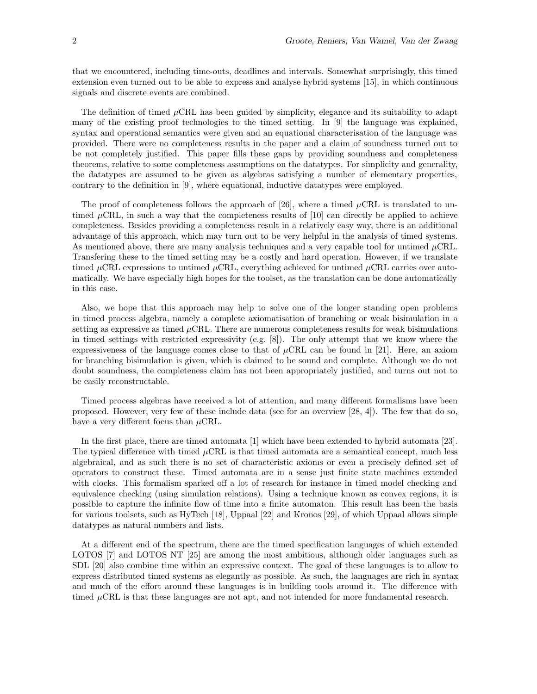that we encountered, including time-outs, deadlines and intervals. Somewhat surprisingly, this timed extension even turned out to be able to express and analyse hybrid systems [15], in which continuous signals and discrete events are combined.

The definition of timed  $\mu$ CRL has been guided by simplicity, elegance and its suitability to adapt many of the existing proof technologies to the timed setting. In [9] the language was explained, syntax and operational semantics were given and an equational characterisation of the language was provided. There were no completeness results in the paper and a claim of soundness turned out to be not completely justified. This paper fills these gaps by providing soundness and completeness theorems, relative to some completeness assumptions on the datatypes. For simplicity and generality, the datatypes are assumed to be given as algebras satisfying a number of elementary properties, contrary to the definition in [9], where equational, inductive datatypes were employed.

The proof of completeness follows the approach of [26], where a timed  $\mu$ CRL is translated to untimed  $\mu$ CRL, in such a way that the completeness results of [10] can directly be applied to achieve completeness. Besides providing a completeness result in a relatively easy way, there is an additional advantage of this approach, which may turn out to be very helpful in the analysis of timed systems. As mentioned above, there are many analysis techniques and a very capable tool for untimed  $\mu$ CRL. Transfering these to the timed setting may be a costly and hard operation. However, if we translate timed  $\mu$ CRL expressions to untimed  $\mu$ CRL, everything achieved for untimed  $\mu$ CRL carries over automatically. We have especially high hopes for the toolset, as the translation can be done automatically in this case.

Also, we hope that this approach may help to solve one of the longer standing open problems in timed process algebra, namely a complete axiomatisation of branching or weak bisimulation in a setting as expressive as timed  $\mu$ CRL. There are numerous completeness results for weak bisimulations in timed settings with restricted expressivity (e.g.  $[8]$ ). The only attempt that we know where the expressiveness of the language comes close to that of  $\mu$ CRL can be found in [21]. Here, an axiom for branching bisimulation is given, which is claimed to be sound and complete. Although we do not doubt soundness, the completeness claim has not been appropriately justified, and turns out not to be easily reconstructable.

Timed process algebras have received a lot of attention, and many different formalisms have been proposed. However, very few of these include data (see for an overview [28, 4]). The few that do so, have a very different focus than  $\mu$ CRL.

In the first place, there are timed automata [1] which have been extended to hybrid automata [23]. The typical difference with timed  $\mu$ CRL is that timed automata are a semantical concept, much less algebraical, and as such there is no set of characteristic axioms or even a precisely defined set of operators to construct these. Timed automata are in a sense just finite state machines extended with clocks. This formalism sparked off a lot of research for instance in timed model checking and equivalence checking (using simulation relations). Using a technique known as convex regions, it is possible to capture the infinite flow of time into a finite automaton. This result has been the basis for various toolsets, such as HyTech [18], Uppaal [22] and Kronos [29], of which Uppaal allows simple datatypes as natural numbers and lists.

At a different end of the spectrum, there are the timed specification languages of which extended LOTOS [7] and LOTOS NT [25] are among the most ambitious, although older languages such as SDL [20] also combine time within an expressive context. The goal of these languages is to allow to express distributed timed systems as elegantly as possible. As such, the languages are rich in syntax and much of the effort around these languages is in building tools around it. The difference with timed  $\mu$ CRL is that these languages are not apt, and not intended for more fundamental research.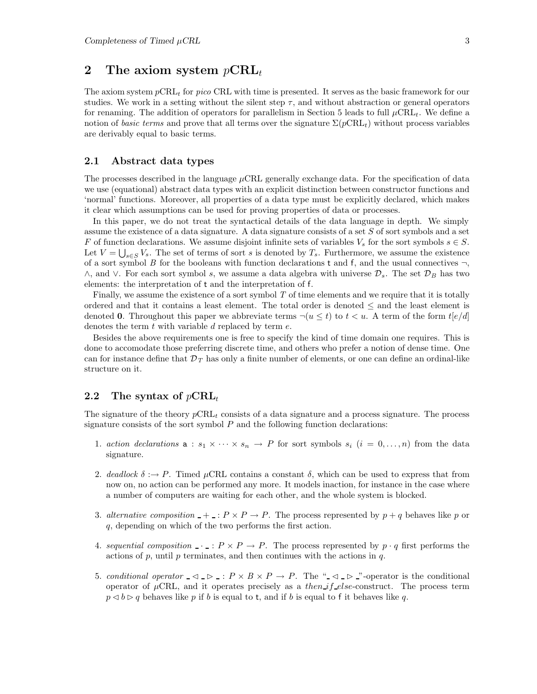# 2 The axiom system  $p\text{CRL}_t$

The axiom system  $p\nCRL<sub>t</sub>$  for pico CRL with time is presented. It serves as the basic framework for our studies. We work in a setting without the silent step  $\tau$ , and without abstraction or general operators for renaming. The addition of operators for parallelism in Section 5 leads to full  $\mu$ CRL<sub>t</sub>. We define a notion of basic terms and prove that all terms over the signature  $\Sigma(pCRL_t)$  without process variables are derivably equal to basic terms.

#### **2.1 Abstract data types**

The processes described in the language  $\mu$ CRL generally exchange data. For the specification of data we use (equational) abstract data types with an explicit distinction between constructor functions and 'normal' functions. Moreover, all properties of a data type must be explicitly declared, which makes it clear which assumptions can be used for proving properties of data or processes.

In this paper, we do not treat the syntactical details of the data language in depth. We simply assume the existence of a data signature. A data signature consists of a set S of sort symbols and a set F of function declarations. We assume disjoint infinite sets of variables  $V_s$  for the sort symbols  $s \in S$ . Let  $V = \bigcup_{s \in S} V_s$ . The set of terms of sort s is denoted by  $T_s$ . Furthermore, we assume the existence of a sort symbol B for the booleans with function declarations t and f, and the usual connectives  $\neg$ ,  $\wedge$ , and  $\vee$ . For each sort symbol s, we assume a data algebra with universe  $\mathcal{D}_s$ . The set  $\mathcal{D}_B$  has two elements: the interpretation of t and the interpretation of f.

Finally, we assume the existence of a sort symbol  $T$  of time elements and we require that it is totally ordered and that it contains a least element. The total order is denoted ≤ and the least element is denoted **0**. Throughout this paper we abbreviate terms  $\neg(u \leq t)$  to  $t < u$ . A term of the form  $t[e/d]$ denotes the term  $t$  with variable  $d$  replaced by term  $e$ .

Besides the above requirements one is free to specify the kind of time domain one requires. This is done to accomodate those preferring discrete time, and others who prefer a notion of dense time. One can for instance define that  $\mathcal{D}_T$  has only a finite number of elements, or one can define an ordinal-like structure on it.

#### **2.2** The syntax of  $p\text{CRL}_t$

The signature of the theory  $p\nabla R L_t$  consists of a data signature and a process signature. The process signature consists of the sort symbol  $P$  and the following function declarations:

- 1. action declarations  $a : s_1 \times \cdots \times s_n \to P$  for sort symbols  $s_i$   $(i = 0, \ldots, n)$  from the data signature.
- 2. deadlock  $\delta : \rightarrow P$ . Timed  $\mu$ CRL contains a constant  $\delta$ , which can be used to express that from now on, no action can be performed any more. It models inaction, for instance in the case where a number of computers are waiting for each other, and the whole system is blocked.
- 3. alternative composition  $-+$ :  $P \times P \rightarrow P$ . The process represented by  $p + q$  behaves like p or q, depending on which of the two performs the first action.
- 4. sequential composition  $\cdots$ :  $P \times P \rightarrow P$ . The process represented by  $p \cdot q$  first performs the actions of  $p$ , until  $p$  terminates, and then continues with the actions in  $q$ .
- 5. conditional operator  $\Box \Box \Box \Box P \times B \times P \rightarrow P$ . The " $\Box \Box \Box$ "-operator is the conditional operator of  $\mu$ CRL, and it operates precisely as a *then if else*-construct. The process term  $p \triangleleft b \triangleright q$  behaves like p if b is equal to t, and if b is equal to f it behaves like q.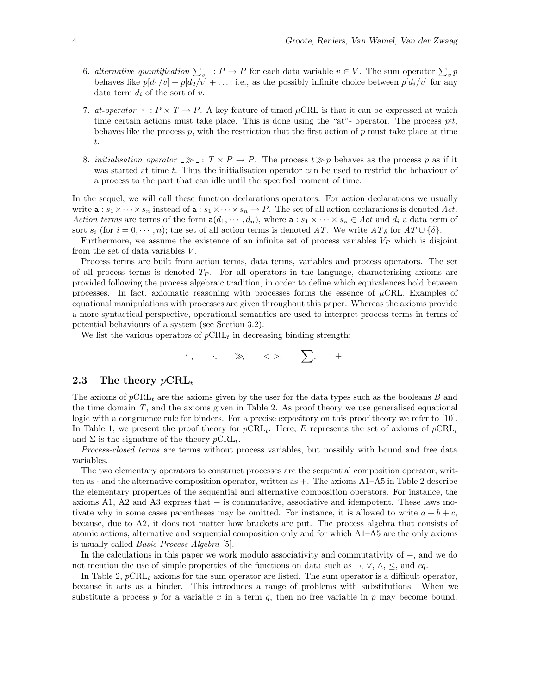- 6. alternative quantification  $\sum_{v}$ :  $P \to P$  for each data variable  $v \in V$ . The sum operator  $\sum_{v} p$ behaves like  $p[d_1/v] + p[d_2/v] + \ldots$ , i.e., as the possibly infinite choice between  $p[d_i/v]$  for any data term  $d_i$  of the sort of v.
- 7. at-operator  $\leq: P \times T \to P$ . A key feature of timed  $\mu$ CRL is that it can be expressed at which time certain actions must take place. This is done using the "at"- operator. The process  $pt$ , behaves like the process p, with the restriction that the first action of p must take place at time t.
- 8. initialisation operator  $\gg$  :  $T \times P \to P$ . The process  $t \gg p$  behaves as the process p as if it was started at time t. Thus the initialisation operator can be used to restrict the behaviour of a process to the part that can idle until the specified moment of time.

In the sequel, we will call these function declarations operators. For action declarations we usually write  $\mathbf{a}: s_1 \times \cdots \times s_n$  instead of  $\mathbf{a}: s_1 \times \cdots \times s_n \to P$ . The set of all action declarations is denoted Act. Action terms are terms of the form  $a(d_1, \dots, d_n)$ , where  $a : s_1 \times \dots \times s_n \in Act$  and  $d_i$  a data term of sort  $s_i$  (for  $i = 0, \dots, n$ ); the set of all action terms is denoted AT. We write  $AT_\delta$  for  $AT \cup \{\delta\}$ .

Furthermore, we assume the existence of an infinite set of process variables  $V_P$  which is disjoint from the set of data variables  $V$ .

Process terms are built from action terms, data terms, variables and process operators. The set of all process terms is denoted  $T_P$ . For all operators in the language, characterising axioms are provided following the process algebraic tradition, in order to define which equivalences hold between processes. In fact, axiomatic reasoning with processes forms the essence of  $\mu$ CRL. Examples of equational manipulations with processes are given throughout this paper. Whereas the axioms provide a more syntactical perspective, operational semantics are used to interpret process terms in terms of potential behaviours of a system (see Section 3.2).

We list the various operators of  $p\text{CRL}_t$  in decreasing binding strength:

$$
``\,,\qquad \cdot,\qquad \gg,\qquad \lhd \rhd,\qquad \sum,\qquad +.
$$

#### **2.3** The theory  $p\text{CRL}_t$

The axioms of  $p\text{CRL}_t$  are the axioms given by the user for the data types such as the booleans B and the time domain T, and the axioms given in Table 2. As proof theory we use generalised equational logic with a congruence rule for binders. For a precise expository on this proof theory we refer to [10]. In Table 1, we present the proof theory for  $p\text{CRL}_{t}$ . Here, E represents the set of axioms of  $p\text{CRL}_{t}$ and  $\Sigma$  is the signature of the theory  $p\text{CRL}_{t}$ .

Process-closed terms are terms without process variables, but possibly with bound and free data variables.

The two elementary operators to construct processes are the sequential composition operator, written as  $\cdot$  and the alternative composition operator, written as  $+$ . The axioms A1–A5 in Table 2 describe the elementary properties of the sequential and alternative composition operators. For instance, the axioms A1, A2 and A3 express that  $+$  is commutative, associative and idempotent. These laws motivate why in some cases parentheses may be omitted. For instance, it is allowed to write  $a + b + c$ , because, due to A2, it does not matter how brackets are put. The process algebra that consists of atomic actions, alternative and sequential composition only and for which A1–A5 are the only axioms is usually called Basic Process Algebra [5].

In the calculations in this paper we work modulo associativity and commutativity of +, and we do not mention the use of simple properties of the functions on data such as  $\neg$ ,  $\vee$ ,  $\wedge$ ,  $\le$ , and eq.

In Table 2,  $p\not\text{CRL}_t$  axioms for the sum operator are listed. The sum operator is a difficult operator, because it acts as a binder. This introduces a range of problems with substitutions. When we substitute a process p for a variable x in a term q, then no free variable in p may become bound.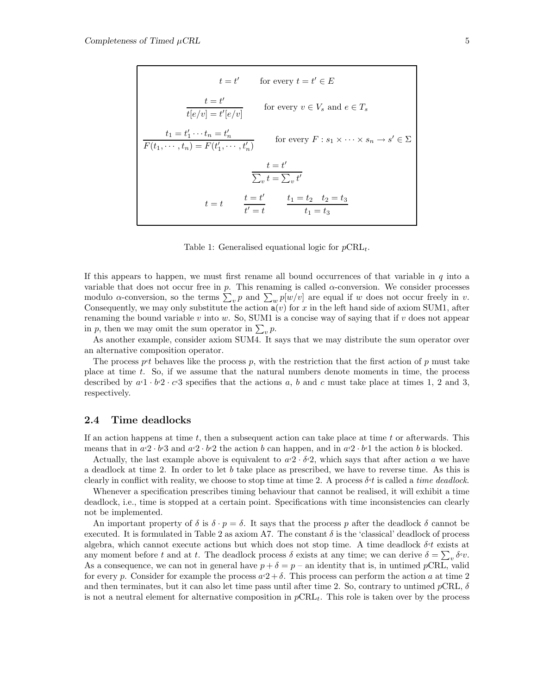$$
t = t' \qquad \text{for every } t = t' \in E
$$
\n
$$
\frac{t = t'}{t[e/v] = t'[e/v]} \qquad \text{for every } v \in V_s \text{ and } e \in T_s
$$
\n
$$
\frac{t_1 = t'_1 \cdots t_n = t'_n}{F(t_1, \cdots, t_n) = F(t'_1, \cdots, t'_n)} \qquad \text{for every } F : s_1 \times \cdots \times s_n \to s' \in \Sigma
$$
\n
$$
\frac{t = t'}{\sum_v t = \sum_v t'}
$$
\n
$$
t = t \qquad \frac{t = t'}{t' = t} \qquad \frac{t_1 = t_2 \quad t_2 = t_3}{t_1 = t_3}
$$

Table 1: Generalised equational logic for  $p\text{CRL}_t$ .

If this appears to happen, we must first rename all bound occurrences of that variable in  $q$  into a variable that does not occur free in  $p$ . This renaming is called  $\alpha$ -conversion. We consider processes modulo  $\alpha$ -conversion, so the terms  $\sum_v p \text{ and } \sum_w p[w/v]$  are equal if w does not occur freely in v. Consequently, we may only substitute the action  $a(v)$  for x in the left hand side of axiom SUM1, after renaming the bound variable v into w. So, SUM1 is a concise way of saying that if v does not appear in p, then we may omit the sum operator in  $\sum_{v} p$ .

As another example, consider axiom SUM4. It says that we may distribute the sum operator over an alternative composition operator.

The process pt behaves like the process p, with the restriction that the first action of p must take place at time t. So, if we assume that the natural numbers denote moments in time, the process described by  $a \cdot 1 \cdot b \cdot 2 \cdot c \cdot 3$  specifies that the actions a, b and c must take place at times 1, 2 and 3, respectively.

#### **2.4 Time deadlocks**

If an action happens at time  $t$ , then a subsequent action can take place at time  $t$  or afterwards. This means that in  $a \cdot 2 \cdot b \cdot 3$  and  $a \cdot 2 \cdot b \cdot 2$  the action b can happen, and in  $a \cdot 2 \cdot b \cdot 1$  the action b is blocked.

Actually, the last example above is equivalent to  $a \cdot 2 \cdot \delta \cdot 2$ , which says that after action a we have a deadlock at time 2. In order to let b take place as prescribed, we have to reverse time. As this is clearly in conflict with reality, we choose to stop time at time 2. A process  $\delta t$  is called a time deadlock.

Whenever a specification prescribes timing behaviour that cannot be realised, it will exhibit a time deadlock, i.e., time is stopped at a certain point. Specifications with time inconsistencies can clearly not be implemented.

An important property of  $\delta$  is  $\delta \cdot p = \delta$ . It says that the process p after the deadlock  $\delta$  cannot be executed. It is formulated in Table 2 as axiom A7. The constant  $\delta$  is the 'classical' deadlock of process algebra, which cannot execute actions but which does not stop time. A time deadlock  $\delta t$  exists at any moment before t and at t. The deadlock process  $\delta$  exists at any time; we can derive  $\delta = \sum_{v} \delta^{\epsilon} v$ . As a consequence, we can not in general have  $p + \delta = p -$  an identity that is, in untimed pCRL, valid for every p. Consider for example the process  $a \cdot 2 + \delta$ . This process can perform the action a at time 2 and then terminates, but it can also let time pass until after time 2. So, contrary to untimed  $p\text{CRL}$ ,  $\delta$ is not a neutral element for alternative composition in  $p\n\textrm{CRL}_t$ . This role is taken over by the process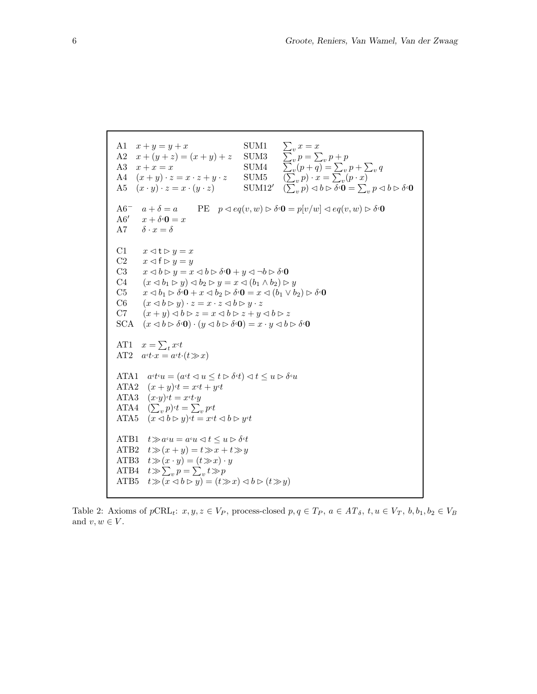```
A1 x + y = y + xA2 x + (y + z) = (x + y) + zA3 x + x = xA4 (x+y) \cdot z = x \cdot z + y \cdot zA5 (x \cdot y) \cdot z = x \cdot (y \cdot z)SUM1 \sum_{v} x = xSUM3 \sum_{v}^{v} p = \sum_{v} p + pSUM4 \sum_{v}^{v} (p + \overline{q})^{\overline{v}} = \sum_{v} p + \sum_{v} q^{\overline{v}}SUM5 \overline{(\sum_v p) \cdot x} = \overline{\sum_v (p \cdot x)}\text{SUM12'} \quad (\overline{\sum}_{v}^{*} p) \lhd b \rhd \overline{\delta^{\epsilon}} \mathbf{0} = \sum_{v}^{} p \lhd b \rhd \delta^{\epsilon} \mathbf{0}A6<sup>-</sup> a + \delta = aA6' x + \delta<sup>\cdot</sup>0 = xA7 \delta \cdot x = \deltaPE \quad p \triangleleft eq(v, w) \triangleright \delta \cdot \mathbf{0} = p[v/w] \triangleleft eq(v, w) \triangleright \delta \cdot \mathbf{0}C1 x \triangleleft t \triangleright y = xC2 x \triangleleft f \triangleright y = yC3 x \triangleleft b \triangleright y = x \triangleleft b \triangleright \delta \cdot 0 + y \triangleleft \delta \cdot 0C4 (x \triangleleft b_1 \triangleright y) \triangleleft b_2 \triangleright y = x \triangleleft (b_1 \wedge b_2) \triangleright yC5 x \triangleleft b_1 \triangleright \delta \cdot \mathbf{0} + x \triangleleft b_2 \triangleright \delta \cdot \mathbf{0} = x \triangleleft (b_1 \vee b_2) \triangleright \delta \cdot \mathbf{0}C6 (x \triangleleft b \triangleright y) \cdot z = x \cdot z \triangleleft b \triangleright y \cdot zC7 (x + y) \triangleleft b \triangleright z = x \triangleleft b \triangleright z + y \triangleleft b \triangleright zSCA (x \triangleleft b \triangleright \delta \cdot \mathbf{0}) \cdot (y \triangleleft b \triangleright \delta \cdot \mathbf{0}) = x \cdot y \triangleleft b \triangleright \delta \cdot \mathbf{0}AT1 x = \sum_t x^t tAT2 a \cdot t \cdot x = a \cdot t \cdot (t \gg x)ATA1 a^ct^t u = (a^ct \lhd u \leq t \rhd \delta^t u) \lhd t \leq u \rhd \delta^t uATA2 (x + y)<sup>t</sup> = x<sup>t</sup> + y<sup>t</sup>
ATA3 (x \cdot y) \cdot t = x \cdot t \cdot yATA4 (\sum_{v} p)^{t} = \sum_{v} p^{t}tATA5 (x \triangleleft b \triangleright y) \cdot t = x \cdot t \triangleleft b \triangleright y \cdot tATB1 t \gg a \cdot u = a \cdot u \Leftrightarrow t \leq u \rhd \delta \cdot tATB2 t \gg (x + y) = t \gg x + t \gg yATB3 t \gg (x \cdot y) = (t \gg x) \cdot yATB4 t \gg \sum_{v} p = \sum_{v} t \gg pATB5 t\gg(x\lhd b\rhd y)=(t\gg x)\lhd b\rhd(t\gg y)
```
Table 2: Axioms of  $p\text{CRL}_t$ :  $x, y, z \in V_P$ , process-closed  $p, q \in T_P$ ,  $a \in AT_\delta$ ,  $t, u \in V_T$ ,  $b, b_1, b_2 \in V_B$ and  $v, w \in V$ .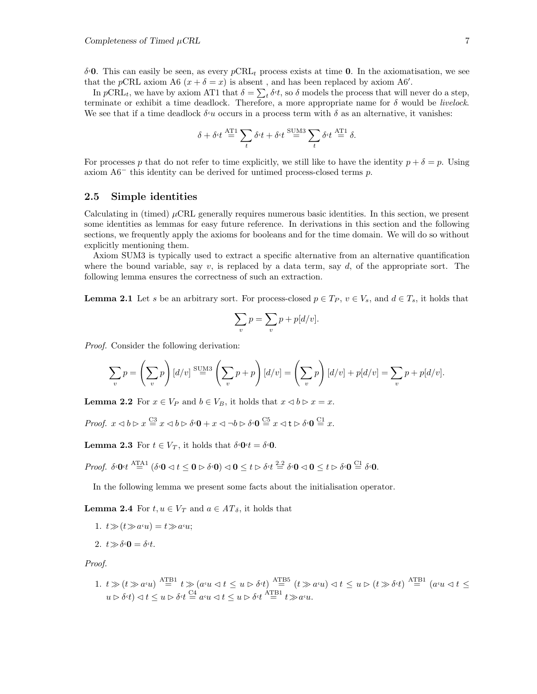δ,**0**. This can easily be seen, as every pCRL<sup>t</sup> process exists at time **0**. In the axiomatisation, we see that the pCRL axiom A6  $(x + \delta = x)$  is absent, and has been replaced by axiom A6'.

In  $pCRL_t$ , we have by axiom AT1 that  $\delta = \sum_t \delta_t t$ , so  $\delta$  models the process that will never do a step, terminate or exhibit a time deadlock. Therefore, a more appropriate name for  $\delta$  would be *livelock*. We see that if a time deadlock  $\delta u$  occurs in a process term with  $\delta$  as an alternative, it vanishes:

$$
\delta + \delta \cdot t \stackrel{\text{AT1}}{=} \sum_{t} \delta \cdot t + \delta \cdot t \stackrel{\text{SUM3}}{=} \sum_{t} \delta \cdot t \stackrel{\text{AT1}}{=} \delta.
$$

For processes p that do not refer to time explicitly, we still like to have the identity  $p + \delta = p$ . Using axiom A6<sup>−</sup> this identity can be derived for untimed process-closed terms p.

#### **2.5 Simple identities**

Calculating in (timed)  $\mu$ CRL generally requires numerous basic identities. In this section, we present some identities as lemmas for easy future reference. In derivations in this section and the following sections, we frequently apply the axioms for booleans and for the time domain. We will do so without explicitly mentioning them.

Axiom SUM3 is typically used to extract a specific alternative from an alternative quantification where the bound variable, say v, is replaced by a data term, say d, of the appropriate sort. The following lemma ensures the correctness of such an extraction.

**Lemma 2.1** Let s be an arbitrary sort. For process-closed  $p \in T_P$ ,  $v \in V_s$ , and  $d \in T_s$ , it holds that

$$
\sum_{v} p = \sum_{v} p + p[d/v].
$$

Proof. Consider the following derivation:

$$
\sum_{v} p = \left(\sum_{v} p\right) [d/v] \stackrel{\text{SUM3}}{=} \left(\sum_{v} p + p\right) [d/v] = \left(\sum_{v} p\right) [d/v] + p[d/v] = \sum_{v} p + p[d/v].
$$

**Lemma 2.2** For  $x \in V_P$  and  $b \in V_B$ , it holds that  $x \le b \ge x = x$ .

Proof.  $x \triangleleft b \triangleright x \stackrel{\text{C3}}{=} x \triangleleft b \triangleright \delta \cdot 0 + x \triangleleft \neg b \triangleright \delta \cdot 0 \stackrel{\text{C5}}{=} x \triangleleft t \triangleright \delta \cdot 0 \stackrel{\text{C1}}{=} x.$ 

**Lemma 2.3** For  $t \in V_T$ , it holds that  $\delta \cdot \mathbf{0} \cdot t = \delta \cdot \mathbf{0}$ .

 $Proof.\ \ \delta \cdot \mathbf{0} \cdot t \stackrel{\text{ATA1}}{=} (\delta \cdot \mathbf{0} \lhd t \leq \mathbf{0} \rhd \delta \cdot \mathbf{0}) \lhd \mathbf{0} \leq t \rhd \delta \cdot t \stackrel{2.2}{=} \delta \cdot \mathbf{0} \lhd \mathbf{0} \leq t \rhd \delta \cdot \mathbf{0} \stackrel{\text{CI}}{=} \delta \cdot \mathbf{0}.$ 

In the following lemma we present some facts about the initialisation operator.

**Lemma 2.4** For  $t, u \in V_T$  and  $a \in AT_\delta$ , it holds that

- 1.  $t \gg (t \gg a \lq u) = t \gg a \lq u;$
- 2.  $t \gg \delta \Omega = \delta t$ .

Proof.

1.  $t \gg (t \gg a \lq u)$   $\stackrel{\text{ATB1}}{=} t \gg (a \lq u \lhd t \leq u \rhd \delta \lq t)$   $\stackrel{\text{ATB5}}{=} (t \gg a \lq u) \lhd t \leq u \rhd (t \gg \delta \lq t)$   $\stackrel{\text{ATB1}}{=} (a \lq u \lhd t \leq u)$  $u \triangleright \delta \cdot t \big) \triangleleft t \leq u \triangleright \delta \cdot t \stackrel{\text{C4}}{=} a \cdot u \triangleleft t \leq u \triangleright \delta \cdot t \stackrel{\text{ATB1}}{=} t \gg a \cdot u.$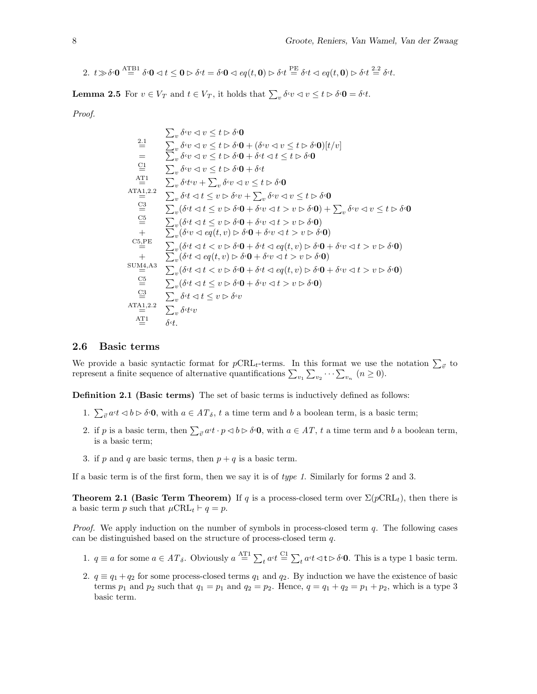2. 
$$
t \gg \delta \cdot 0
$$
  $\stackrel{\text{AFB1}}{=} \delta \cdot 0 \ll t \leq 0$   $\geq \delta \cdot t = \delta \cdot 0 \ll e q(t, 0)$   $\geq \delta \cdot t \stackrel{\text{PE}}{=} \delta \cdot t \ll e q(t, 0)$   $\geq \delta \cdot t \stackrel{2.2}{=} \delta \cdot t$ .

**Lemma 2.5** For  $v \in V_T$  and  $t \in V_T$ , it holds that  $\sum_v \delta v \langle v \rangle \langle v \rangle \leq t \sum v \delta v \langle 0 \rangle = \delta v t$ .

Proof.

$$
\sum_{v} \delta v \triangleleft v \leq t \triangleright \delta \cdot 0
$$
\n
$$
\equiv \sum_{v} \delta v \triangleleft v \leq t \triangleright \delta \cdot 0 + (\delta v \triangleleft v \leq t \triangleright \delta \cdot 0)[t/v]
$$
\n
$$
= \sum_{v} \delta v \triangleleft v \leq t \triangleright \delta \cdot 0 + \delta t \triangleleft t \leq t \triangleright \delta \cdot 0
$$
\n
$$
\equiv \sum_{v} \delta v \triangleleft v \leq t \triangleright \delta \cdot 0 + \delta t
$$
\n
$$
\stackrel{\text{AT1}}{=} \sum_{v} \delta v \triangleleft v \leq t \triangleright \delta \cdot 0 + \delta t
$$
\n
$$
\stackrel{\text{AT1}}{=} \sum_{v} \delta v \triangleleft v \leq t \triangleright \delta \cdot 0 + \delta t
$$
\n
$$
\stackrel{\text{AT2}}{=} \sum_{v} \delta v \triangleleft v \leq t \triangleright \delta \cdot 0 + \delta v
$$
\n
$$
\stackrel{\text{AT3}}{=} \sum_{v} \delta v \triangleleft v \leq t \triangleright \delta v \triangleleft v \leq t \triangleright \delta \cdot 0
$$
\n
$$
\stackrel{\text{CS}}{=} \sum_{v} (\delta v \triangleleft t \leq v \triangleright \delta v \triangleleft t \geq v \triangleright \delta v \triangleleft t \geq v \triangleright \delta \cdot 0) + \sum_{v} \delta v \triangleleft v \leq t \triangleright \delta \cdot 0
$$
\n
$$
\stackrel{\text{CS}}{=} \sum_{v} (\delta v \triangleleft t \leq v \triangleright \delta \cdot 0 + \delta v \triangleleft t \geq v \triangleright \delta \cdot 0)
$$
\n
$$
\stackrel{\text{CS,PE}}{=} \sum_{v} (\delta v \triangleleft e q(t, v) \triangleright \delta \cdot 0 + \delta v \triangleleft t \geq v \triangleright \delta \cdot 0)
$$
\n
$$
\stackrel{\text{CS,PE}}{=} \sum_{v} (\delta v \triangleleft e q(t, v) \triangleright \delta \cdot 0 + \delta v \triangleleft t \geq v \triangleright \delta \cdot 0)
$$
\n
$$
\stackrel{\text{SUMA4}}{=} \sum_{v} (\delta v \triangleleft e q(t, v) \triangleright \delta \cdot 0 + \delta
$$

#### **2.6 Basic terms**

We provide a basic syntactic format for  $p\text{CRL}_t$ -terms. In this format we use the notation  $\sum_{\vec{v}}$  to represent a finite sequence of alternative quantifications  $\sum_{v_1} \sum_{v_2} \cdots \sum_{v_n} (n \ge 0)$ .

**Definition 2.1 (Basic terms)** The set of basic terms is inductively defined as follows:

- 1.  $\sum_{\vec{v}} a \cdot t \langle b \rangle \delta \cdot \mathbf{0}$ , with  $a \in AT_\delta$ , t a time term and b a boolean term, is a basic term;
- 2. if p is a basic term, then  $\sum_{\vec{v}} a \cdot t \cdot p \le b \rhd \delta \cdot \mathbf{0}$ , with  $a \in AT$ , t a time term and b a boolean term, is a basic term;
- 3. if p and q are basic terms, then  $p + q$  is a basic term.

If a basic term is of the first form, then we say it is of type 1. Similarly for forms 2 and 3.

**Theorem 2.1 (Basic Term Theorem)** If q is a process-closed term over  $\Sigma(pCRL_t)$ , then there is a basic term p such that  $\mu$ CRL<sub>t</sub>  $\vdash q = p$ .

*Proof.* We apply induction on the number of symbols in process-closed term  $q$ . The following cases can be distinguished based on the structure of process-closed term q.

- 1.  $q \equiv a$  for some  $a \in AT_{\delta}$ . Obviously  $a \stackrel{\text{AT1}}{=} \sum_{t} a \cdot t \stackrel{\text{CL}}{=} \sum_{t} a \cdot t \triangleleft t \triangleright \delta \cdot 0$ . This is a type 1 basic term.
- 2.  $q \equiv q_1 + q_2$  for some process-closed terms  $q_1$  and  $q_2$ . By induction we have the existence of basic terms  $p_1$  and  $p_2$  such that  $q_1 = p_1$  and  $q_2 = p_2$ . Hence,  $q = q_1 + q_2 = p_1 + p_2$ , which is a type 3 basic term.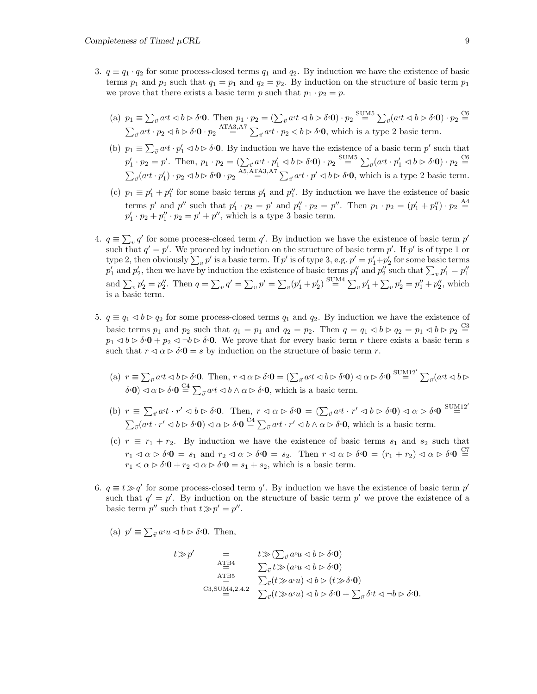- 3.  $q \equiv q_1 \cdot q_2$  for some process-closed terms  $q_1$  and  $q_2$ . By induction we have the existence of basic terms  $p_1$  and  $p_2$  such that  $q_1 = p_1$  and  $q_2 = p_2$ . By induction on the structure of basic term  $p_1$ we prove that there exists a basic term p such that  $p_1 \cdot p_2 = p$ .
	- (a)  $p_1 \equiv \sum_{\vec{v}} a \cdot t \cdot b \rhd \delta \cdot 0$ . Then  $p_1 \cdot p_2 = (\sum_{\vec{v}} a \cdot t \cdot b \rhd \delta \cdot 0) \cdot p_2 \stackrel{\text{SUM5}}{=} \sum_{\vec{v}} (a \cdot t \cdot b \rhd \delta \cdot 0) \cdot p_2 \stackrel{\text{CG}}{=}$  $\sum_{\vec{v}} a \cdot t \cdot p_2 \triangleleft b \triangleright \delta \cdot \mathbf{0} \cdot p_2 \stackrel{\text{ATA3}, \text{A7}}{=} \sum_{\vec{v}} a \cdot t \cdot p_2 \triangleleft b \triangleright \delta \cdot \mathbf{0}$ , which is a type 2 basic term.
	- (b)  $p_1 \equiv \sum_{\vec{v}} a \cdot t \cdot p_1' \leq b \triangleright \delta \cdot 0$ . By induction we have the existence of a basic term p' such that  $p_1' \cdot p_2 = p'.$  Then,  $p_1 \cdot p_2 = (\sum_{\vec{v}} a \cdot t \cdot p_1' \lhd b \rhd \delta \cdot \mathbf{0}) \cdot p_2 \stackrel{\text{SUM5}}{=} \sum_{\vec{v}} (a \cdot t \cdot p_1' \lhd b \rhd \delta \cdot \mathbf{0}) \cdot p_2 \stackrel{\text{CG}}{=}$  $\sum_{\vec{v}} (a \cdot t \cdot p'_1) \cdot p_2 \lhd b \rhd \delta \cdot \mathbf{0} \cdot p_2 \stackrel{\text{A5,ATA3,AT}}{=} \sum_{\vec{v}} a \cdot t \cdot p' \lhd b \rhd \delta \cdot \mathbf{0}$ , which is a type 2 basic term.
	- (c)  $p_1 \equiv p'_1 + p''_1$  for some basic terms  $p'_1$  and  $p''_1$ . By induction we have the existence of basic terms p' and p'' such that  $p'_1 \cdot p_2 = p'$  and  $p''_1 \cdot p_2 = p''$ . Then  $p_1 \cdot p_2 = (p'_1 + p''_1) \cdot p_2 \stackrel{A4}{=}$  $p'_1 \cdot p_2 + p''_1 \cdot p_2 = p' + p''$ , which is a type 3 basic term.
- 4.  $q \equiv \sum_{v} q'$  for some process-closed term  $q'$ . By induction we have the existence of basic term  $p'$ such that  $q' = p'$ . We proceed by induction on the structure of basic term p'. If p' is of type 1 or type 2, then obviously  $\sum_{v} p'$  is a basic term. If  $p'$  is of type 3, e.g.  $p' = p'_1 + p'_2$  for some basic terms  $p_1'$  and  $p_2'$ , then we have by induction the existence of basic terms  $p_1''$  and  $p_2''$  such that  $\sum_v p_1' = p_1''$ and  $\sum_{v} p_2' = p_2''$ . Then  $q = \sum_{v} q' = \sum_{v} p' = \sum_{v} (p_1' + p_2') \stackrel{\text{SUM4}}{=} \sum_{v} p_1' + \sum_{v} p_2' = p_1'' + p_2''$ , which is a basic term.
- 5.  $q \equiv q_1 \triangleleft b \triangleright q_2$  for some process-closed terms  $q_1$  and  $q_2$ . By induction we have the existence of basic terms  $p_1$  and  $p_2$  such that  $q_1 = p_1$  and  $q_2 = p_2$ . Then  $q = q_1 \triangleleft b \triangleright q_2 = p_1 \triangleleft b \triangleright p_2 \stackrel{\text{CS}}{=}$  $p_1 \triangleleft b \triangleright \delta \cdot \mathbf{0} + p_2 \triangleleft \delta \cdot \mathbf{0}$ . We prove that for every basic term r there exists a basic term s such that  $r \triangleleft \alpha \triangleright \delta \cdot \mathbf{0} = s$  by induction on the structure of basic term r.
	- (a)  $r \equiv \sum_{\vec{v}} a \cdot t \langle \vec{v} \rangle \langle \vec{v} \rangle$  Then,  $r \langle \vec{v} \rangle \langle \vec{v} \rangle = (\sum_{\vec{v}} a \cdot t \langle \vec{v} \rangle \langle \vec{v} \rangle \langle \vec{v} \rangle \langle \vec{v} \rangle \langle \vec{v} \rangle \langle \vec{v} \rangle = \sum_{\vec{v}} a \cdot t \langle \vec{v} \rangle \langle \vec{v} \rangle$  $\delta \cdot \mathbf{0} \leq \alpha \triangleright \delta \cdot \mathbf{0} \stackrel{\text{C4}}{=} \sum_{\vec{v}} a \cdot t \leq b \land \alpha \triangleright \delta \cdot \mathbf{0}$ , which is a basic term.
	- (b)  $r \equiv \sum_{\vec{v}} a \cdot t \cdot r' \lhd b \rhd \delta \cdot 0$ . Then,  $r \lhd \alpha \rhd \delta \cdot 0 = (\sum_{\vec{v}} a \cdot t \cdot r' \lhd b \rhd \delta \cdot 0) \lhd \alpha \rhd \delta \cdot 0$  sum 12'  $\sum_{\vec{v}} (a \cdot t \cdot r' \lhd b \rhd \delta \cdot \mathbf{0}) \lhd \alpha \rhd \delta \cdot \mathbf{0} \stackrel{C4}{=} \sum_{\vec{v}} a \cdot t \cdot r' \lhd b \wedge \alpha \rhd \delta \cdot \mathbf{0}$ , which is a basic term.
	- (c)  $r \equiv r_1 + r_2$ . By induction we have the existence of basic terms  $s_1$  and  $s_2$  such that  $r_1 \triangleleft \alpha \triangleright \delta \cdot \mathbf{0} = s_1 \text{ and } r_2 \triangleleft \alpha \triangleright \delta \cdot \mathbf{0} = s_2.$  Then  $r \triangleleft \alpha \triangleright \delta \cdot \mathbf{0} = (r_1 + r_2) \triangleleft \alpha \triangleright \delta \cdot \mathbf{0} = \overline{\mathbf{0}}$  $r_1 \triangleleft \alpha \triangleright \delta \cdot \mathbf{0} + r_2 \triangleleft \alpha \triangleright \delta \cdot \mathbf{0} = s_1 + s_2$ , which is a basic term.
- 6.  $q \equiv t \gg q'$  for some process-closed term q'. By induction we have the existence of basic term p' such that  $q' = p'$ . By induction on the structure of basic term p' we prove the existence of a basic term  $p''$  such that  $t \gg p' = p''$ .
	- (a)  $p' \equiv \sum_{\vec{v}} a^{\epsilon} u \langle \psi \rangle \phi \rangle \delta^{\epsilon} \mathbf{0}$ . Then,

$$
t \gg p' = t \gg (\sum_{\vec{v}} a^c u \ll b \rhd \delta^c \mathbf{0})
$$
  
\n
$$
\sum_{\vec{v}} t \gg (a^c u \ll b \rhd \delta^c \mathbf{0})
$$
  
\n
$$
\sum_{\vec{v}} t \gg (a^c u \ll b \rhd \delta^c \mathbf{0})
$$
  
\n
$$
\sum_{\vec{v}} (t \gg a^c u) \ll b \rhd (t \gg \delta^c \mathbf{0})
$$
  
\nC3, SUM4,2.4.2  
\n
$$
\sum_{\vec{v}} (t \gg a^c u) \ll b \rhd \delta^c \mathbf{0} + \sum_{\vec{v}} \delta^c t \ll \neg b \rhd \delta^c \mathbf{0}.
$$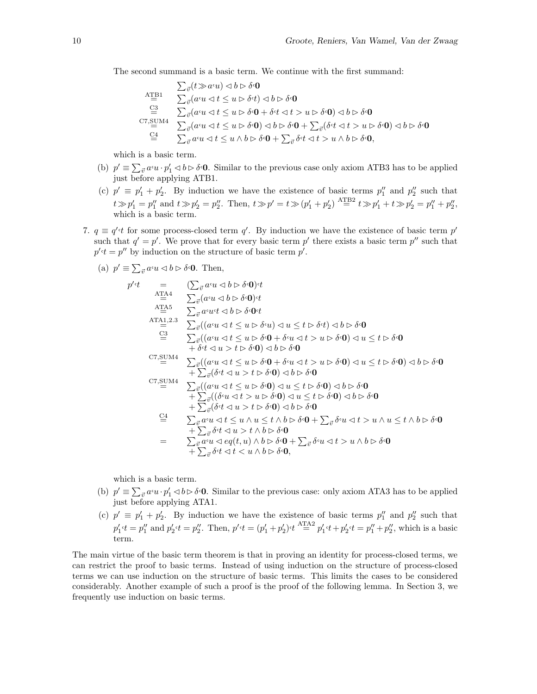The second summand is a basic term. We continue with the first summand:

$$
\Sigma_{\vec{v}}(t \gg a \cdot u) \lhd b \rhd \delta \cdot 0
$$
\n
$$
\Lambda_{\vec{v}}^{\text{TB1}} \quad \Sigma_{\vec{v}}(a \cdot u \lhd t \le u \rhd \delta \cdot t) \lhd b \rhd \delta \cdot 0
$$
\n
$$
\stackrel{\text{G3}}{\cong} \quad \Sigma_{\vec{v}}(a \cdot u \lhd t \le u \rhd \delta \cdot 0 + \delta \cdot t \lhd t > u \rhd \delta \cdot 0) \lhd b \rhd \delta \cdot 0
$$
\n
$$
\stackrel{\text{C7,SUM4}}{\cong} \quad \Sigma_{\vec{v}}(a \cdot u \lhd t \le u \rhd \delta \cdot 0) \lhd b \rhd \delta \cdot 0 + \sum_{\vec{v}}(\delta \cdot t \lhd t > u \rhd \delta \cdot 0) \lhd b \rhd \delta \cdot 0
$$
\n
$$
\stackrel{\text{C4}}{\cong} \quad \Sigma_{\vec{v}} a \cdot u \lhd t \le u \wedge b \rhd \delta \cdot 0 + \sum_{\vec{v}} \delta \cdot t \lhd t > u \wedge b \rhd \delta \cdot 0,
$$

which is a basic term.

- (b)  $p' \equiv \sum_{\vec{v}} a^{i} u \cdot p'_{1} \leq b \triangleright \delta^{i} \mathbf{0}$ . Similar to the previous case only axiom ATB3 has to be applied just before applying ATB1.
- (c)  $p' \equiv p'_1 + p'_2$ . By induction we have the existence of basic terms  $p''_1$  and  $p''_2$  such that  $t \gg p'_1 = p''_1$  and  $t \gg p'_2 = p''_2$ . Then,  $t \gg p' = t \gg (p'_1 + p'_2)^{\text{ ATB2}} \cdot t \gg p'_1 + t \gg p'_2 = p''_1 + p''_2$ , which is a basic term.
- 7.  $q \equiv q' \cdot t$  for some process-closed term q'. By induction we have the existence of basic term p' such that  $q' = p'$ . We prove that for every basic term p' there exists a basic term p'' such that  $p'$ <sup> $\cdot$ </sup>t =  $p''$  by induction on the structure of basic term  $p'$ .
	- (a)  $p' \equiv \sum_{\vec{v}} a^{\epsilon} u \langle \psi \rangle \phi \phi$ . Then,

$$
p' \cdot t = \sum_{\vec{v}} a \cdot u \, d \, b \triangleright \delta \cdot 0 \cdot t
$$
  
\n
$$
\sum_{\vec{v}} a \cdot u \, d \, b \triangleright \delta \cdot 0 \cdot t
$$
  
\n
$$
\sum_{\vec{v}} a \cdot u \, d \, b \triangleright \delta \cdot 0 \cdot t
$$
  
\n
$$
\sum_{\vec{v}} a \cdot u \, d \, b \triangleright \delta \cdot 0 \cdot t
$$
  
\n
$$
\sum_{\vec{v}} a \cdot u \, d \, b \triangleright \delta \cdot 0 \cdot t
$$
  
\n
$$
\sum_{\vec{v}} \left( (a \cdot u \, d \, t \le u \triangleright \delta \cdot u) \, d \, u \le t \triangleright \delta \cdot t \right) \, d \, b \triangleright \delta \cdot 0
$$
  
\n
$$
\sum_{\vec{v}} \left( (a \cdot u \, d \, t \le u \triangleright \delta \cdot 0) + \delta \cdot u \, d \, t > u \triangleright \delta \cdot 0 \right) \, d \, u \le t \triangleright \delta \cdot 0
$$
  
\n
$$
\sum_{\vec{v}} \left( (a \cdot u \, d \, t \le u \triangleright \delta \cdot 0) + \delta \cdot u \, d \, t > u \triangleright \delta \cdot 0 \right) \, d \, u \le t \triangleright \delta \cdot 0
$$
  
\n
$$
\sum_{\vec{v}} \left( (a \cdot u \, d \, t \le u \triangleright \delta \cdot 0) + \delta \cdot u \, d \, t > u \triangleright \delta \cdot 0 \right) \, d \, b \triangleright \delta \cdot 0
$$
  
\n
$$
\sum_{\vec{v}} \left( (a \cdot u \, d \, t \le u \triangleright \delta \cdot 0) \, d \, b \triangleright \delta \cdot 0 \right)
$$
  
\n
$$
\sum_{\vec{v}} \left( (a \cdot u \, d \, t \le u \triangleright \delta \cdot 0) \, d \, u \le t \triangleright \delta \cdot 0 \right) \, d \, b \triangleright \delta \cdot 0
$$
  
\n
$$
\sum_{\vec{v}} \left( (\delta \cdot u \, d \, t \le u \triangleright \delta \cdot
$$

which is a basic term.

- (b)  $p' \equiv \sum_{\vec{v}} a^{i} u \cdot p'_{1} \triangleleft b \triangleright \delta^{i} 0$ . Similar to the previous case: only axiom ATA3 has to be applied just before applying ATA1.
- (c)  $p' \equiv p'_1 + p'_2$ . By induction we have the existence of basic terms  $p''_1$  and  $p''_2$  such that  $p_1' \cdot t = p_1''$  and  $p_2' \cdot t = p_2''$ . Then,  $p' \cdot t = (p_1' + p_2') \cdot t \stackrel{\text{ATA2}}{=} p_1' \cdot t + p_2' \cdot t = p_1'' + p_2''$ , which is a basic term.

The main virtue of the basic term theorem is that in proving an identity for process-closed terms, we can restrict the proof to basic terms. Instead of using induction on the structure of process-closed terms we can use induction on the structure of basic terms. This limits the cases to be considered considerably. Another example of such a proof is the proof of the following lemma. In Section 3, we frequently use induction on basic terms.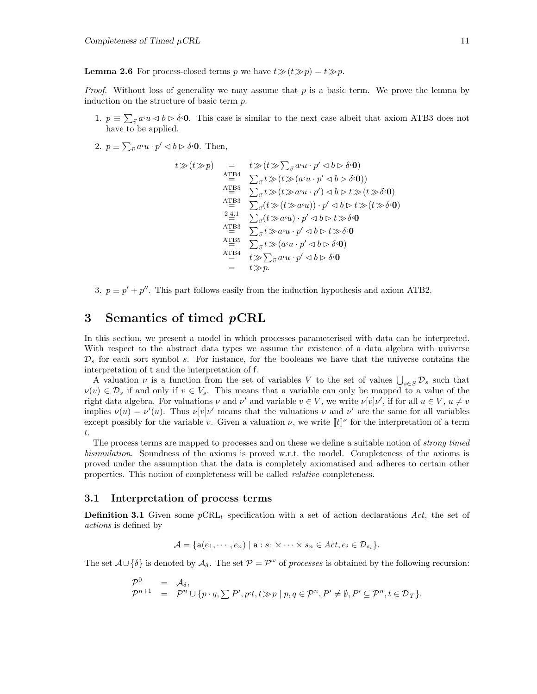**Lemma 2.6** For process-closed terms p we have  $t \gg (t \gg p) = t \gg p$ .

*Proof.* Without loss of generality we may assume that  $p$  is a basic term. We prove the lemma by induction on the structure of basic term p.

- 1.  $p \equiv \sum_{\vec{v}} a_i u \langle \vec{v} \rangle \langle \vec{v} \rangle$  This case is similar to the next case albeit that axiom ATB3 does not have to be applied.
- 2.  $p \equiv \sum_{\vec{v}} a^{\epsilon} u \cdot p' \lhd b \rhd \delta^{\epsilon} \mathbf{0}$ . Then,

$$
t \gg (t \gg p) = t \gg (t \gg \sum_{\vec{v}} a^c u \cdot p' \lhd b \rhd \delta \cdot \mathbf{0})
$$
  
\n
$$
\sum_{i=1}^{A} \sum_{\vec{v}} t \gg (t \gg (a^c u \cdot p' \lhd b \rhd \delta \cdot \mathbf{0}))
$$
  
\n
$$
\sum_{i=1}^{A} \sum_{\vec{v}} t \gg (t \gg a^c u \cdot p') \lhd b \rhd t \gg (t \gg \delta \cdot \mathbf{0})
$$
  
\n
$$
\sum_{i=1}^{A} \sum_{\vec{v}} (t \gg (t \gg a^c u) \cdot p' \lhd b \rhd t \gg \delta \cdot \mathbf{0})
$$
  
\n
$$
\sum_{i=1}^{2.4} \sum_{\vec{v}} (t \gg a^c u) \cdot p' \lhd b \rhd t \gg \delta \cdot \mathbf{0}
$$
  
\n
$$
\sum_{i=1}^{A} \sum_{\vec{v}} t \gg a^c u \cdot p' \lhd b \rhd t \gg \delta \cdot \mathbf{0}
$$
  
\n
$$
\sum_{i=1}^{A} \sum_{\vec{v}} t \gg (a^c u \cdot p' \lhd b \rhd \delta \cdot \mathbf{0})
$$
  
\n
$$
\sum_{i=1}^{A} t \gg \sum_{\vec{v}} a^c u \cdot p' \lhd b \rhd \delta \cdot \mathbf{0}
$$
  
\n
$$
= t \gg p.
$$

3.  $p \equiv p' + p''$ . This part follows easily from the induction hypothesis and axiom ATB2.

# **3 Semantics of timed** *p***CRL**

In this section, we present a model in which processes parameterised with data can be interpreted. With respect to the abstract data types we assume the existence of a data algebra with universe  $\mathcal{D}_s$  for each sort symbol s. For instance, for the booleans we have that the universe contains the interpretation of t and the interpretation of f.

A valuation  $\nu$  is a function from the set of variables V to the set of values  $\bigcup_{s\in S} \mathcal{D}_s$  such that  $\nu(v) \in \mathcal{D}_s$  if and only if  $v \in V_s$ . This means that a variable can only be mapped to a value of the right data algebra. For valuations  $\nu$  and  $\nu'$  and variable  $v \in V$ , we write  $\nu[v]\nu'$ , if for all  $u \in V$ ,  $u \neq v$ implies  $\nu(u) = \nu'(u)$ . Thus  $\nu[v]\nu'$  means that the valuations  $\nu$  and  $\nu'$  are the same for all variables except possibly for the variable v. Given a valuation  $\nu$ , we write  $\lceil t \rceil^{\nu}$  for the interpretation of a term t.

The process terms are mapped to processes and on these we define a suitable notion of strong timed bisimulation. Soundness of the axioms is proved w.r.t. the model. Completeness of the axioms is proved under the assumption that the data is completely axiomatised and adheres to certain other properties. This notion of completeness will be called relative completeness.

#### **3.1 Interpretation of process terms**

**Definition 3.1** Given some  $p\n\textrm{CRL}_t$  specification with a set of action declarations Act, the set of actions is defined by

$$
\mathcal{A} = \{ \mathbf{a}(e_1, \cdots, e_n) \mid \mathbf{a} : s_1 \times \cdots \times s_n \in \mathit{Act}, e_i \in \mathcal{D}_{s_i} \}.
$$

The set  $\mathcal{A}\cup\{\delta\}$  is denoted by  $\mathcal{A}_{\delta}$ . The set  $\mathcal{P} = \mathcal{P}^{\omega}$  of processes is obtained by the following recursion:

$$
\begin{array}{rcl}\n\mathcal{P}^0 & = & \mathcal{A}_\delta, \\
\mathcal{P}^{n+1} & = & \mathcal{P}^n \cup \{p \cdot q, \sum P', p \cdot t, t \gg p \mid p, q \in \mathcal{P}^n, P' \neq \emptyset, P' \subseteq \mathcal{P}^n, t \in \mathcal{D}_T\}.\n\end{array}
$$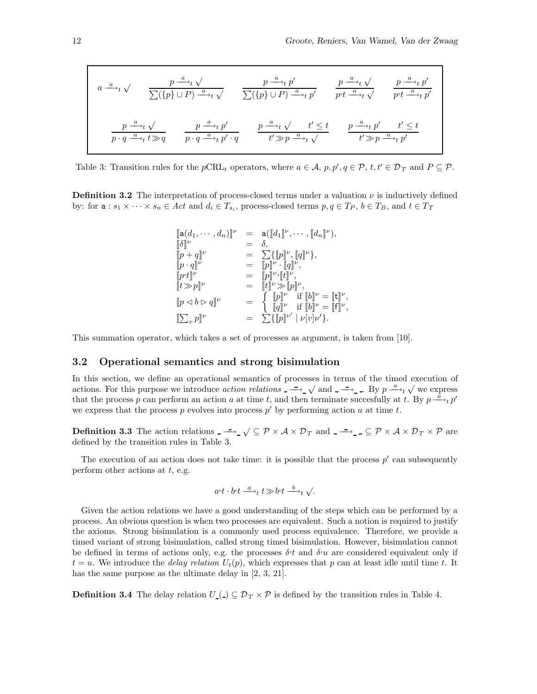$$
a \xrightarrow{a} t \sqrt{p} \xrightarrow{p \xrightarrow{a} t} \sqrt{p} \xrightarrow{p \xrightarrow{a} t} p'
$$
\n
$$
\frac{p \xrightarrow{a} t}{\sum (\{p\} \cup P) \xrightarrow{a} t} \sqrt{p} \xrightarrow{p \xrightarrow{a} t} p'
$$
\n
$$
\frac{p \xrightarrow{a} t}{p \cdot q \xrightarrow{a} t} \sqrt{p} \qquad \frac{p \xrightarrow{a} t}{p \cdot q \xrightarrow{a} t} \frac{p \xrightarrow{a} t}{p' \cdot q} \qquad \frac{p \xrightarrow{a} t}{p' \cdot q} \sqrt{p} \qquad \frac{p \xrightarrow{a} t}{t' \gg p \xrightarrow{a} t} \sqrt{p} \qquad \frac{p \xrightarrow{a} t}{t' \gg p \xrightarrow{a} t} \frac{p'}{p' \cdot q} \sqrt{p' \cdot q}
$$

Table 3: Transition rules for the  $p\text{CRL}_t$  operators, where  $a \in \mathcal{A}, p, p', q \in \mathcal{P}, t, t' \in \mathcal{D}_T$  and  $P \subseteq \mathcal{P}$ .

**Definition 3.2** The interpretation of process-closed terms under a valuation  $\nu$  is inductively defined by: for  $\mathbf{a}: s_1 \times \cdots \times s_n \in Act$  and  $d_i \in T_{s_i}$ , process-closed terms  $p, q \in T_P$ ,  $b \in T_B$ , and  $t \in T_T$ 

$$
\begin{array}{llll}\n[a(d_1, \cdots, d_n)]^{\nu} & = & a([d_1]^{\nu}, \cdots, [d_n]^{\nu}), \\
[\delta]^{\nu} & = & \delta, \\
[p + q]^{\nu} & = & \sum \{ [p]^{\nu}, [q]^{\nu} \}, \\
[p \cdot q]^{\nu} & = & [p]^{\nu} \cdot [q]^{\nu}, \\
[p \cdot t]^{\nu} & = & [p]^{\nu} \cdot [t]^{\nu}, \\
[t \gg p]^{\nu} & = & [t]^{\nu} \gg [p]^{\nu}, \\
[p \prec b \rhd q]^{\nu} & = & \begin{cases}\n[p]^{\nu} & \text{if } [b]^{\nu} = [t]^{\nu}, \\
[q]^{\nu} & \text{if } [b]^{\nu} = [t]^{\nu}, \\
[\sum_{v} p]^{\nu} & = & \sum \{ [p]^{\nu'} | \nu[v] \nu' \}.\n\end{cases}\n\end{array}
$$

This summation operator, which takes a set of processes as argument, is taken from [10].

#### **3.2 Operational semantics and strong bisimulation**

In this section, we define an operational semantics of processes in terms of the timed execution of actions. For this purpose we introduce *action relations*  $\overrightarrow{ }$   $\rightarrow$   $\sqrt{ }$  and  $\overrightarrow{ }$   $\rightarrow$  . By  $p \xrightarrow{a} t \sqrt{ }$  we express that the process p can perform an action a at time t, and then terminate succesfully at t. By  $p \frac{a}{r} + p'$ we express that the process p evolves into process  $p'$  by performing action a at time t.

**Definition 3.3** The action relations  $-\rightarrow \sqrt{\subseteq} P \times A \times D_T$  and  $-\rightarrow \angle \subseteq P \times A \times D_T \times P$  are defined by the transition rules in Table 3.

The execution of an action does not take time: it is possible that the process  $p'$  can subsequently perform other actions at  $t$ , e.g.

$$
a \cdot t \cdot b \cdot t \xrightarrow{a} t \gg b \cdot t \xrightarrow{b} t \sqrt{}
$$

Given the action relations we have a good understanding of the steps which can be performed by a process. An obvious question is when two processes are equivalent. Such a notion is required to justify the axioms. Strong bisimulation is a commonly used process equivalence. Therefore, we provide a timed variant of strong bisimulation, called strong timed bisimulation. However, bisimulation cannot be defined in terms of actions only, e.g. the processes  $\delta t$  and  $\delta u$  are considered equivalent only if  $t = u$ . We introduce the *delay relation*  $U_t(p)$ , which expresses that p can at least idle until time t. It has the same purpose as the ultimate delay in [2, 3, 21].

**Definition 3.4** The delay relation  $U_{-1} \subseteq \mathcal{D}_T \times \mathcal{P}$  is defined by the transition rules in Table 4.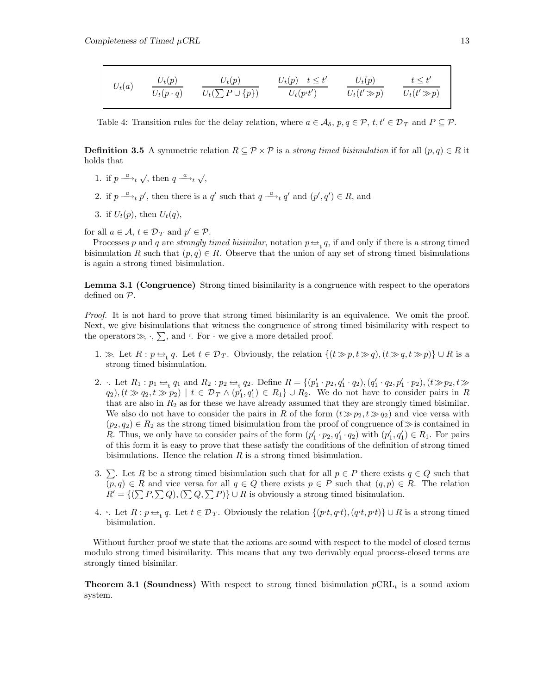| $U_t(a)$ | $U_t(p)$         | $U_t(p)$               | $U_t(p) \quad t \leq t'$ | $U_t(p)$        | $t \leq t'$     |
|----------|------------------|------------------------|--------------------------|-----------------|-----------------|
|          | $U_t(p \cdot q)$ | $U_t(\sum P\cup\{p\})$ | $U_t(p\cdot t')$         | $U_t(t' \gg p)$ | $U_t(t' \gg p)$ |

Table 4: Transition rules for the delay relation, where  $a \in \mathcal{A}_{\delta}$ ,  $p, q \in \mathcal{P}$ ,  $t, t' \in \mathcal{D}_T$  and  $P \subseteq \mathcal{P}$ .

**Definition 3.5** A symmetric relation  $R \subseteq \mathcal{P} \times \mathcal{P}$  is a strong timed bisimulation if for all  $(p, q) \in R$  it holds that

- 1. if  $p \stackrel{a}{\longrightarrow}_t \sqrt{ }$ , then  $q \stackrel{a}{\longrightarrow}_t \sqrt{ }$ ,
- 2. if  $p \stackrel{a}{\longrightarrow}_t p'$ , then there is a q' such that  $q \stackrel{a}{\longrightarrow}_t q'$  and  $(p', q') \in R$ , and
- 3. if  $U_t(p)$ , then  $U_t(q)$ ,
- for all  $a \in \mathcal{A}, t \in \mathcal{D}_T$  and  $p' \in \mathcal{P}$ .

Processes p and q are strongly timed bisimilar, notation  $p \rightleftharpoons_t q$ , if and only if there is a strong timed bisimulation R such that  $(p,q) \in R$ . Observe that the union of any set of strong timed bisimulations is again a strong timed bisimulation.

**Lemma 3.1 (Congruence)** Strong timed bisimilarity is a congruence with respect to the operators defined on P.

Proof. It is not hard to prove that strong timed bisimilarity is an equivalence. We omit the proof. Next, we give bisimulations that witness the congruence of strong timed bisimilarity with respect to the operators  $\gg$ ,  $\cdot$ ,  $\sum$ , and  $\cdot$ . For  $\cdot$  we give a more detailed proof.

- 1.  $\gg$  Let  $R : p \Leftrightarrow_{t} q$ . Let  $t \in \mathcal{D}_T$ . Obviously, the relation  $\{(t \gg p, t \gg q), (t \gg q, t \gg p)\} \cup R$  is a strong timed bisimulation.
- 2. I. Let  $R_1: p_1 \Leftrightarrow_{t} q_1$  and  $R_2: p_2 \Leftrightarrow_{t} q_2$ . Define  $R = \{(p'_1 \cdot p_2, q'_1 \cdot q_2), (q'_1 \cdot q_2, p'_1 \cdot p_2), (t \gg p_2, t \gg q'_1)\}$  $(q_2)$ ,  $(t \gg q_2, t \gg p_2)$  |  $t \in \mathcal{D}_T \wedge (p'_1, q'_1) \in R_1$   $\cup$   $R_2$ . We do not have to consider pairs in R that are also in  $R_2$  as for these we have already assumed that they are strongly timed bisimilar. We also do not have to consider the pairs in R of the form  $(t\gg p_2,t\gg q_2)$  and vice versa with  $(p_2,q_2) \in R_2$  as the strong timed bisimulation from the proof of congruence of  $\gg$  is contained in R. Thus, we only have to consider pairs of the form  $(p'_1 \cdot p_2, q'_1 \cdot q_2)$  with  $(p'_1, q'_1) \in R_1$ . For pairs of this form it is easy to prove that these satisfy the conditions of the definition of strong timed bisimulations. Hence the relation  $R$  is a strong timed bisimulation.
- 3.  $\Sigma$ . Let R be a strong timed bisimulation such that for all  $p \in P$  there exists  $q \in Q$  such that  $(p,q) \in R$  and vice versa for all  $q \in Q$  there exists  $p \in P$  such that  $(q,p) \in R$ . The relation  $R' = \{(\sum P, \sum Q), (\sum Q, \sum P)\} \cup R$  is obviously a strong timed bisimulation.
- 4.  $\cdot$ . Let  $R : p \leftrightarrow q$ . Let  $t \in \mathcal{D}_T$ . Obviously the relation  $\{(pt,q\cdot t,p\cdot t)\} \cup R$  is a strong timed bisimulation.

Without further proof we state that the axioms are sound with respect to the model of closed terms modulo strong timed bisimilarity. This means that any two derivably equal process-closed terms are strongly timed bisimilar.

**Theorem 3.1 (Soundness)** With respect to strong timed bisimulation  $pCRL_t$  is a sound axiom system.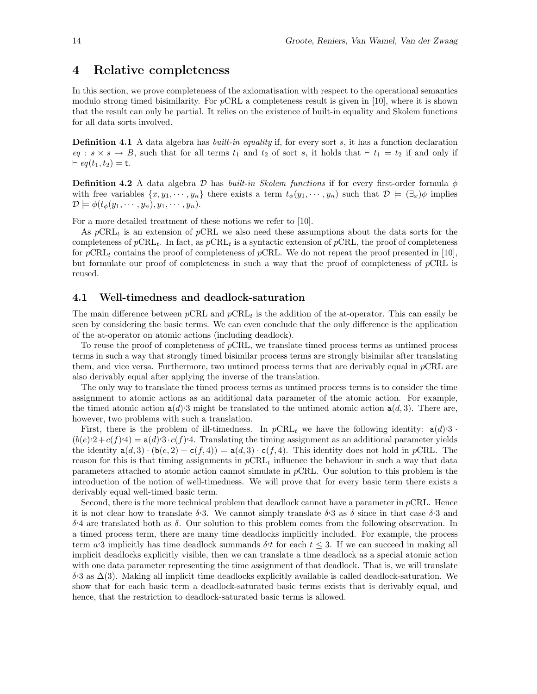# **4 Relative completeness**

In this section, we prove completeness of the axiomatisation with respect to the operational semantics modulo strong timed bisimilarity. For  $p$ CRL a completeness result is given in [10], where it is shown that the result can only be partial. It relies on the existence of built-in equality and Skolem functions for all data sorts involved.

**Definition 4.1** A data algebra has *built-in equality* if, for every sort s, it has a function declaration  $eq: s \times s \rightarrow B$ , such that for all terms  $t_1$  and  $t_2$  of sort s, it holds that  $\vdash t_1 = t_2$  if and only if  $\vdash eq(t_1,t_2) = t.$ 

**Definition 4.2** A data algebra  $D$  has *built-in Skolem functions* if for every first-order formula  $\phi$ with free variables  $\{x, y_1, \dots, y_n\}$  there exists a term  $t_{\phi}(y_1, \dots, y_n)$  such that  $\mathcal{D} \models (\exists_x) \phi$  implies  $\mathcal{D} \models \phi(t_{\phi}(y_1, \cdots, y_n), y_1, \cdots, y_n).$ 

For a more detailed treatment of these notions we refer to [10].

As  $p\text{CRL}_t$  is an extension of pCRL we also need these assumptions about the data sorts for the completeness of  $p\text{CRL}_{t}$ . In fact, as  $p\text{CRL}_{t}$  is a syntactic extension of  $p\text{CRL}_{t}$ , the proof of completeness for  $p\text{CRL}_t$  contains the proof of completeness of  $p\text{CRL}$ . We do not repeat the proof presented in [10], but formulate our proof of completeness in such a way that the proof of completeness of  $pCRL$  is reused.

#### **4.1 Well-timedness and deadlock-saturation**

The main difference between  $p\text{CRL}$  and  $p\text{CRL}_t$  is the addition of the at-operator. This can easily be seen by considering the basic terms. We can even conclude that the only difference is the application of the at-operator on atomic actions (including deadlock).

To reuse the proof of completeness of pCRL, we translate timed process terms as untimed process terms in such a way that strongly timed bisimilar process terms are strongly bisimilar after translating them, and vice versa. Furthermore, two untimed process terms that are derivably equal in pCRL are also derivably equal after applying the inverse of the translation.

The only way to translate the timed process terms as untimed process terms is to consider the time assignment to atomic actions as an additional data parameter of the atomic action. For example, the timed atomic action  $a(d)$ . There are, the translated to the untimed atomic action  $a(d, 3)$ . There are, however, two problems with such a translation.

First, there is the problem of ill-timedness. In  $pCRL_t$  we have the following identity:  $a(d)$ .  $(b(e)<sup>2</sup>+c(f)<sup>4</sup>) = a(d)<sup>3</sup> \cdot c(f)<sup>4</sup>$ . Translating the timing assignment as an additional parameter yields the identity  $a(d, 3) \cdot (b(e, 2) + c(f, 4)) = a(d, 3) \cdot c(f, 4)$ . This identity does not hold in pCRL. The reason for this is that timing assignments in  $pCRL<sub>t</sub>$  influence the behaviour in such a way that data parameters attached to atomic action cannot simulate in pCRL. Our solution to this problem is the introduction of the notion of well-timedness. We will prove that for every basic term there exists a derivably equal well-timed basic term.

Second, there is the more technical problem that deadlock cannot have a parameter in  $p$ CRL. Hence it is not clear how to translate  $\delta \cdot 3$ . We cannot simply translate  $\delta \cdot 3$  as  $\delta$  since in that case  $\delta \cdot 3$  and  $δ$ <sup>4</sup> are translated both as δ. Our solution to this problem comes from the following observation. In a timed process term, there are many time deadlocks implicitly included. For example, the process term a.3 implicitly has time deadlock summands  $\delta t$  for each  $t \leq 3$ . If we can succeed in making all implicit deadlocks explicitly visible, then we can translate a time deadlock as a special atomic action with one data parameter representing the time assignment of that deadlock. That is, we will translate  $\delta$ <sup>5</sup> as  $\Delta$ (3). Making all implicit time deadlocks explicitly available is called deadlock-saturation. We show that for each basic term a deadlock-saturated basic terms exists that is derivably equal, and hence, that the restriction to deadlock-saturated basic terms is allowed.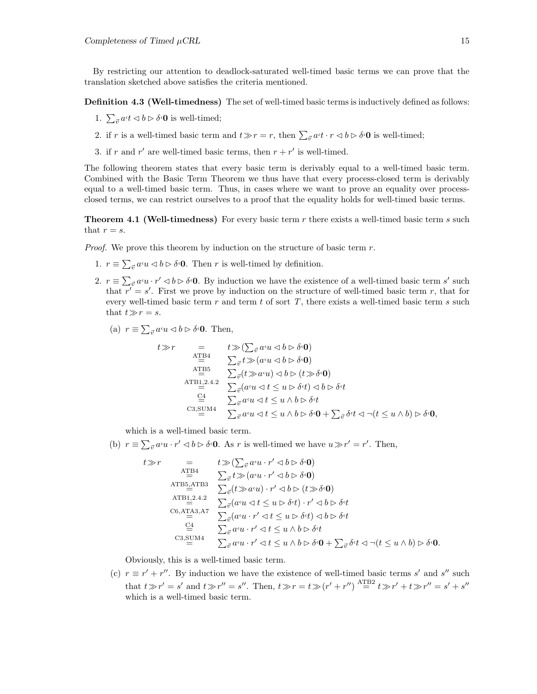By restricting our attention to deadlock-saturated well-timed basic terms we can prove that the translation sketched above satisfies the criteria mentioned.

**Definition 4.3 (Well-timedness)** The set of well-timed basic terms is inductively defined as follows:

- 1.  $\sum_{\vec{v}} a^{t} \langle \vec{v} \rangle \langle \vec{v} \rangle$  is well-timed;
- 2. if r is a well-timed basic term and  $t \gg r = r$ , then  $\sum_{\vec{v}} a \cdot t \cdot r \prec b \rhd \delta \cdot \mathbf{0}$  is well-timed;
- 3. if r and r' are well-timed basic terms, then  $r + r'$  is well-timed.

The following theorem states that every basic term is derivably equal to a well-timed basic term. Combined with the Basic Term Theorem we thus have that every process-closed term is derivably equal to a well-timed basic term. Thus, in cases where we want to prove an equality over processclosed terms, we can restrict ourselves to a proof that the equality holds for well-timed basic terms.

**Theorem 4.1 (Well-timedness)** For every basic term r there exists a well-timed basic term s such that  $r = s$ .

*Proof.* We prove this theorem by induction on the structure of basic term  $r$ .

- 1.  $r \equiv \sum_{\vec{v}} a \cdot u \langle \phi \rangle \sim \delta \cdot \mathbf{0}$ . Then r is well-timed by definition.
- 2.  $r \equiv \sum_{\vec{v}} a^c u \cdot r' \leq b \triangleright \delta \cdot \mathbf{0}$ . By induction we have the existence of a well-timed basic term s' such that  $r' = s'$ . First we prove by induction on the structure of well-timed basic term r, that for every well-timed basic term  $r$  and term  $t$  of sort  $T$ , there exists a well-timed basic term  $s$  such that  $t \gg r = s$ .
	- (a)  $r \equiv \sum_{\vec{v}} a^{\epsilon} u \langle \psi \rangle \phi \delta \langle \phi$ . Then,

$$
t \gg r = t \gg (\sum_{\vec{v}} a \cdot u \lhd b \rhd \delta \cdot \mathbf{0})
$$
  
\n
$$
\Delta_{\equiv}^{HBA} \sum_{\vec{v}} t \gg (a \cdot u \lhd b \rhd \delta \cdot \mathbf{0})
$$
  
\n
$$
\Delta_{\equiv}^{HBB} \sum_{\vec{v}} (t \gg a \cdot u) \lhd b \rhd (t \gg \delta \cdot \mathbf{0})
$$
  
\n
$$
\Delta_{\equiv}^{HBB,2.4.2} \sum_{\vec{v}} (a \cdot u \lhd t \le u \rhd \delta \cdot t) \lhd b \rhd \delta \cdot t
$$
  
\n
$$
\underline{C}^4 = \sum_{\vec{v}} a \cdot u \lhd t \le u \wedge b \rhd \delta \cdot t
$$
  
\n
$$
C3, \underline{S} \underline{U} \underline{M}4 \sum_{\vec{v}} a \cdot u \lhd t \le u \wedge b \rhd \delta \cdot \mathbf{0} + \sum_{\vec{v}} \delta \cdot t \lhd \neg (t \le u \wedge b) \rhd \delta \cdot \mathbf{0},
$$

which is a well-timed basic term.

(b)  $r \equiv \sum_{\vec{v}} a^c u \cdot r' \lhd b \rhd \delta \cdot 0$ . As r is well-timed we have  $u \gg r' = r'$ . Then,

$$
t \gg r = t \gg (\sum_{\vec{v}} a \cdot u \cdot r' \lhd b \rhd \delta \cdot \mathbf{0})
$$
  
\n
$$
\Delta_{\equiv}^{TBA} \sum_{\vec{v}} t \gg (a \cdot u \cdot r' \lhd b \rhd \delta \cdot \mathbf{0})
$$
  
\n
$$
\Delta_{\equiv}^{TBA} \Delta_{\vec{v}}^{TBA} = \sum_{\vec{v}} (t \gg a \cdot u) \cdot r' \lhd b \rhd (t \gg \delta \cdot \mathbf{0})
$$
  
\n
$$
\Delta_{\equiv}^{TBA} \Delta_{\vec{v}}^{TAB} = \sum_{\vec{v}} (a \cdot u \lhd t \le u \rhd \delta \cdot t) \cdot r' \lhd b \rhd \delta \cdot t
$$
  
\n
$$
\Delta_{\vec{v}}^{G,ATA3,AT} \sum_{\vec{v}} a \cdot (a \cdot u \cdot r' \lhd t \le u \rhd \delta \cdot t) \lhd b \rhd \delta \cdot t
$$
  
\n
$$
\Delta_{\vec{v}}^{G,ATA3,AT} \sum_{\vec{v}} a \cdot u \cdot r' \lhd t \le u \wedge b \rhd \delta \cdot t
$$
  
\n
$$
\Delta_{\vec{v}}^{G,G,STMA} \sum_{\vec{v}} a \cdot u \cdot r' \lhd t \le u \wedge b \rhd \delta \cdot \mathbf{0} + \sum_{\vec{v}} \delta \cdot t \lhd \neg (t \le u \wedge b) \rhd \delta \cdot \mathbf{0}.
$$

Obviously, this is a well-timed basic term.

(c)  $r \equiv r' + r''$ . By induction we have the existence of well-timed basic terms s' and s'' such that  $t \gg r' = s'$  and  $t \gg r'' = s''$ . Then,  $t \gg r = t \gg (r' + r'') \stackrel{\text{AFB2}}{=} t \gg r' + t \gg r'' = s' + s''$ which is a well-timed basic term.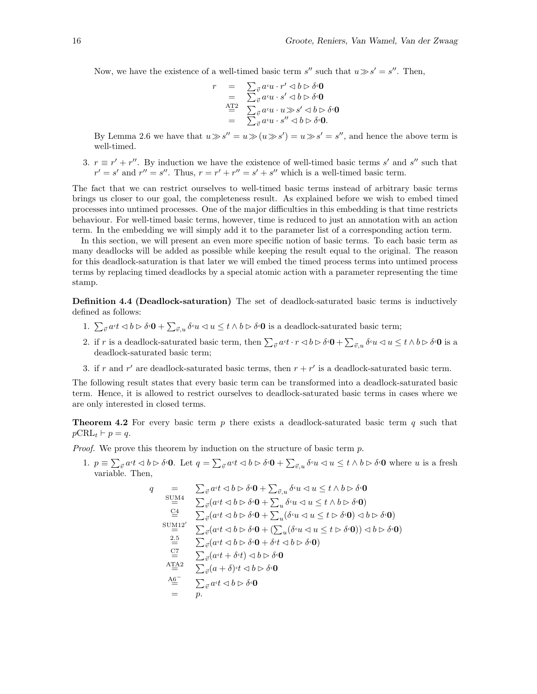Now, we have the existence of a well-timed basic term s'' such that  $u \gg s' = s''$ . Then,

$$
r = \sum_{\vec{v}} a^c u \cdot r' \langle b \rangle \delta^c \mathbf{0}
$$
  
=  $\sum_{\vec{v}} a^c u \cdot s' \langle b \rangle \delta^c \mathbf{0}$   
=  $\sum_{\vec{v}} a^c u \cdot u \rangle \langle s' \rangle \langle b \rangle \delta^c \mathbf{0}$   
=  $\sum_{\vec{v}} a^c u \cdot s'' \langle b \rangle \delta^c \mathbf{0}$ .

By Lemma 2.6 we have that  $u \gg s'' = u \gg (u \gg s') = u \gg s' = s''$ , and hence the above term is well-timed.

3.  $r \equiv r' + r''$ . By induction we have the existence of well-timed basic terms s' and s'' such that  $r' = s'$  and  $r'' = s''$ . Thus,  $r = r' + r'' = s' + s''$  which is a well-timed basic term.

The fact that we can restrict ourselves to well-timed basic terms instead of arbitrary basic terms brings us closer to our goal, the completeness result. As explained before we wish to embed timed processes into untimed processes. One of the major difficulties in this embedding is that time restricts behaviour. For well-timed basic terms, however, time is reduced to just an annotation with an action term. In the embedding we will simply add it to the parameter list of a corresponding action term.

In this section, we will present an even more specific notion of basic terms. To each basic term as many deadlocks will be added as possible while keeping the result equal to the original. The reason for this deadlock-saturation is that later we will embed the timed process terms into untimed process terms by replacing timed deadlocks by a special atomic action with a parameter representing the time stamp.

**Definition 4.4 (Deadlock-saturation)** The set of deadlock-saturated basic terms is inductively defined as follows:

- 1.  $\sum_{\vec{v}} a \cdot t \langle b \rangle \delta \cdot \mathbf{0} + \sum_{\vec{v},u} \delta \cdot u \langle u \rangle \langle t \rangle \delta \cdot \mathbf{0}$  is a deadlock-saturated basic term;
- 2. if r is a deadlock-saturated basic term, then  $\sum_{\vec{v}} a \cdot t \cdot r \langle b \rangle \delta \cdot \mathbf{0} + \sum_{\vec{v},u} \delta \cdot u \langle u \rangle \leq t \wedge b \rangle \delta \cdot \mathbf{0}$  is a deadlock-saturated basic term;
- 3. if r and r' are deadlock-saturated basic terms, then  $r + r'$  is a deadlock-saturated basic term.

The following result states that every basic term can be transformed into a deadlock-saturated basic term. Hence, it is allowed to restrict ourselves to deadlock-saturated basic terms in cases where we are only interested in closed terms.

**Theorem 4.2** For every basic term  $p$  there exists a deadlock-saturated basic term  $q$  such that  $p\text{CRL}_t \vdash p = q.$ 

Proof. We prove this theorem by induction on the structure of basic term  $p$ .

1.  $p \equiv \sum_{\vec{v}} a \cdot t \langle \phi \rangle \langle \phi \rangle$  Let  $q = \sum_{\vec{v}} a \cdot t \langle \phi \rangle \langle \phi \rangle + \sum_{\vec{v},u} \delta \cdot u \langle \phi \rangle \langle \phi \rangle \langle \phi \rangle$  where u is a fresh variable. Then,

$$
q = \sum_{\vec{v}} a \cdot t \langle a \rangle \langle b \rangle \langle a \cdot b \rangle + \sum_{\vec{v},u} \delta \cdot u \langle a \cdot b \rangle \langle a \cdot b \rangle \langle a \cdot b \rangle
$$
  
\n
$$
\sum_{i=1}^{N} a \cdot t \langle a \cdot b \rangle \langle a \cdot b \rangle + \sum_{u} \delta \cdot u \langle a \cdot b \rangle \langle a \cdot b \rangle
$$
  
\n
$$
\sum_{i=1}^{N} a \cdot t \langle a \cdot b \rangle \langle a \cdot b \rangle + \sum_{u} (\delta \cdot u \langle a \cdot b \rangle \langle a \cdot b \rangle \langle a \cdot b \rangle)
$$
  
\n
$$
\sum_{i=1}^{N} \sum_{i=1}^{N} a \cdot t \langle a \cdot b \rangle \langle a \cdot b \rangle + \sum_{i=1}^{N} (\delta \cdot u \langle a \cdot b \rangle \langle a \cdot b \rangle \langle a \cdot b \rangle)
$$
  
\n
$$
\sum_{i=1}^{N} \sum_{i=1}^{N} a \cdot t \langle a \cdot b \rangle \langle a \cdot b \rangle \langle a \cdot b \rangle \langle a \cdot b \rangle
$$
  
\n
$$
\sum_{i=1}^{N} \sum_{i=1}^{N} a \cdot t \langle a \cdot b \rangle \langle a \cdot b \rangle \langle a \cdot b \rangle
$$
  
\n
$$
\sum_{i=1}^{N} \sum_{i=1}^{N} a \cdot t \langle a \cdot b \rangle \langle a \cdot b \rangle \langle a \cdot b \rangle
$$
  
\n
$$
\sum_{i=1}^{N} \sum_{i=1}^{N} a \cdot t \langle a \cdot b \rangle \langle a \cdot b \rangle \langle a \cdot b \rangle
$$
  
\n
$$
\sum_{i=1}^{N} \sum_{i=1}^{N} a \cdot t \langle a \cdot b \rangle \langle a \cdot b \rangle \langle a \cdot b \rangle
$$
  
\n
$$
\sum_{i=1}^{N} \sum_{i=1}^{N} a \cdot t \langle a \cdot b \rangle \langle a \cdot b \rangle \langle a \cdot b \rangle
$$
  
\n
$$
\sum_{i=1}^{N} \sum_{i=1}^{N} a \cdot t \langle a \cdot b \rangle \langle a \cdot b \rangle \langle a \cdot b \rangle
$$
  
\n
$$
\sum_{i=1}^{N} a \cdot t \langle a \cdot b
$$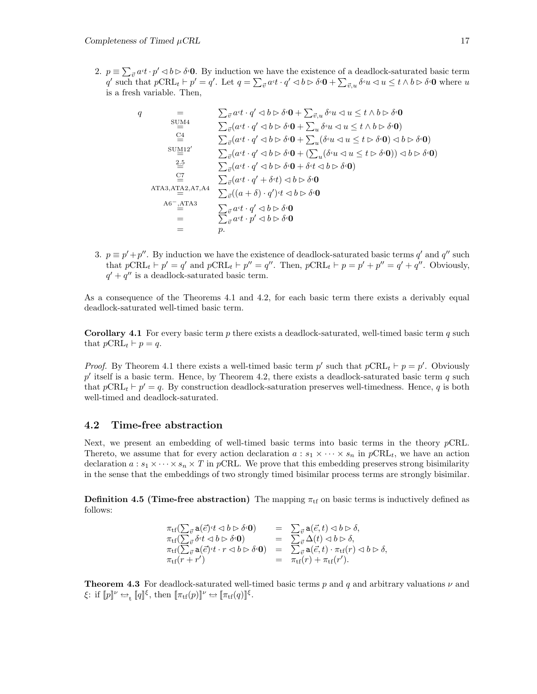2.  $p \equiv \sum_{\vec{v}} a \cdot t \cdot p' \leq b \triangleright \delta \cdot 0$ . By induction we have the existence of a deadlock-saturated basic term  $q'$  such that  $p\text{CRL}_{t} \vdash p' = q'$ . Let  $q = \sum_{\vec{v}} a \cdot t \cdot q' \lhd b \rhd \delta \cdot \mathbf{0} + \sum_{\vec{v},u} \delta \cdot u \lhd u \leq t \wedge b \rhd \delta \cdot \mathbf{0}$  where u is a fresh variable. Then,

q = P ~v a,t · q<sup>0</sup> ✁ b ✄ δ,**0** + P ~v,u δ,u ✁ u ≤ t ∧ b ✄ δ,**0** SUM4 = P ~v(a,t · q<sup>0</sup> ✁ b ✄ δ,**0** + P <sup>u</sup> δ,u ✁ u ≤ t ∧ b ✄ δ,**0**) C4 = P ~v(a,t · q<sup>0</sup> ✁ b ✄ δ,**0** + P <sup>u</sup>(δ,u ✁ u ≤ t ✄ δ,**0**) ✁ b ✄ δ,**0**) SUM120 = P ~v(a,t · q<sup>0</sup> ✁ b ✄ δ,**0** + (P <sup>u</sup>(δ,u ✁ u ≤ t ✄ δ,**0**)) ✁ b ✄ δ,**0**) 2.5 = P ~v(a,t · q<sup>0</sup> ✁ b ✄ δ,**0** + δ,t ✁ b ✄ δ,**0**) C7 = P ~v(a,t · q<sup>0</sup> + δ,t) ✁ b ✄ δ,**0** ATA3,ATA2,A7,A4 = P ~v((a + δ) · q<sup>0</sup> ),t ✁ b ✄ δ,**0** A6−,ATA3 = P ~v a,t · q<sup>0</sup> ✁ b ✄ δ,**0** = P ~v a,t · p<sup>0</sup> ✁ b ✄ δ,**0** = p.

3.  $p \equiv p' + p''$ . By induction we have the existence of deadlock-saturated basic terms q' and q'' such that  $p\text{CRL}_t \vdash p' = q'$  and  $p\text{CRL}_t \vdash p'' = q''$ . Then,  $p\text{CRL}_t \vdash p = p' + p'' = q' + q''$ . Obviously,  $q' + q''$  is a deadlock-saturated basic term.

As a consequence of the Theorems 4.1 and 4.2, for each basic term there exists a derivably equal deadlock-saturated well-timed basic term.

**Corollary 4.1** For every basic term  $p$  there exists a deadlock-saturated, well-timed basic term  $q$  such that  $p\text{CRL}_t \vdash p = q$ .

*Proof.* By Theorem 4.1 there exists a well-timed basic term p' such that  $p\text{CRL}_t \vdash p = p'$ . Obviously p' itself is a basic term. Hence, by Theorem 4.2, there exists a deadlock-saturated basic term q such that  $p\text{CRL}_t \vdash p' = q$ . By construction deadlock-saturation preserves well-timedness. Hence, q is both well-timed and deadlock-saturated.

#### **4.2 Time-free abstraction**

Next, we present an embedding of well-timed basic terms into basic terms in the theory  $p$ CRL. Thereto, we assume that for every action declaration  $a : s_1 \times \cdots \times s_n$  in  $p\text{CRL}_t$ , we have an action declaration  $a : s_1 \times \cdots \times s_n \times T$  in pCRL. We prove that this embedding preserves strong bisimilarity in the sense that the embeddings of two strongly timed bisimilar process terms are strongly bisimilar.

**Definition 4.5 (Time-free abstraction)** The mapping  $\pi_{\text{tf}}$  on basic terms is inductively defined as follows:

$$
\begin{array}{rcl}\n\pi_{\rm tf}(\sum_{\vec{v}}{\rm a}(\vec{e})\cdot t \lhd b \rhd \delta\cdot 0) & = & \sum_{\vec{v}}{\rm a}(\vec{e},t) \lhd b \rhd \delta, \\
\pi_{\rm tf}(\sum_{\vec{v}}{\delta\cdot t} \lhd b \rhd \delta\cdot 0) & = & \sum_{\vec{v}}{\rm a}(\vec{e},t) \lhd b \rhd \delta, \\
\pi_{\rm tf}(\sum_{\vec{v}}{\rm a}(\vec{e})\cdot t \cdot r \lhd b \rhd \delta\cdot 0) & = & \sum_{\vec{v}}{\rm a}(\vec{e},t) \cdot \pi_{\rm tf}(r) \lhd b \rhd \delta, \\
\pi_{\rm tf}(r+r') & = & \pi_{\rm tf}(r) + \pi_{\rm tf}(r').\n\end{array}
$$

**Theorem 4.3** For deadlock-saturated well-timed basic terms p and q and arbitrary valuations  $\nu$  and  $\xi:$  if  $[\![p]\!]^{\nu} \hookrightarrow_{\mathfrak{t}} [\![q]\!]^{\xi}$ , then  $[\![\pi_{\mathfrak{t}f}(p)]\!]^{\nu} \hookrightarrow [\![\pi_{\mathfrak{t}f}(q)]\!]^{\xi}$ .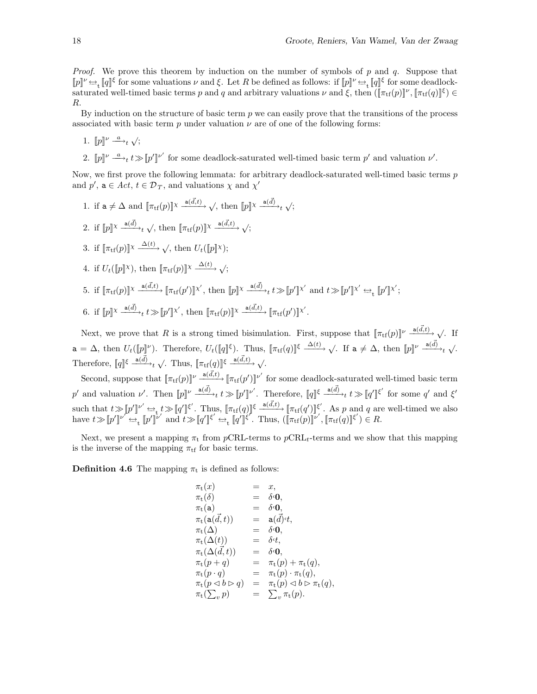*Proof.* We prove this theorem by induction on the number of symbols of p and q. Suppose that  $[|p] \nu \leftrightarrow [q]$ ξ for some valuations  $\nu$  and  $\xi$ . Let R be defined as follows: if  $[|p] \nu \leftrightarrow [q]$ ξ for some deadlocksaturated well-timed basic terms p and q and arbitrary valuations  $\nu$  and  $\xi$ , then  $(\lceil \pi_{\text{tf}}(p) \rceil^{\nu}, \lceil \pi_{\text{tf}}(q) \rceil^{\xi}) \in$ R.

By induction on the structure of basic term  $p$  we can easily prove that the transitions of the process associated with basic term  $p$  under valuation  $\nu$  are of one of the following forms:

- 1.  $[p]^\nu \stackrel{a}{\longrightarrow}_t \sqrt{y}$
- 2.  $[\![p]\!]^{\nu} \xrightarrow{a} t \gg [\![p']\!]^{\nu'}$  for some deadlock-saturated well-timed basic term  $p'$  and valuation  $\nu'$ .

Now, we first prove the following lemmata: for arbitrary deadlock-saturated well-timed basic terms  $p$ and  $p'$ ,  $\mathbf{a} \in Act, t \in \mathcal{D}_T$ , and valuations  $\chi$  and  $\chi'$ 

1. if  $\mathbf{a} \neq \Delta$  and  $[\![\pi_{\text{tf}}(p)]\!]^{\chi} \xrightarrow{\mathbf{a}(\vec{d},t)} \sqrt{\Psi}$ , then  $[\![p]\!]^{\chi} \xrightarrow{\mathbf{a}(\vec{d})} \sqrt{\Psi}$ ; 2. if  $[p]^\chi \stackrel{a(\vec{d})}{\longrightarrow}_t \sqrt{p}$ , then  $[\pi_{\text{tf}}(p)]^\chi \stackrel{a(\vec{d},t)}{\longrightarrow} \sqrt{p}$ 3. if  $[\![\pi_{\text{tf}}(p)]\!] \times \frac{\Delta(t)}{\Delta(t)}$ , then  $U_t([\![p]\!] \times)$ ; 4. if  $U_t(\llbracket p \rrbracket \times)$ , then  $\llbracket \pi_{\text{tf}}(p) \rrbracket \times \frac{\Delta(t)}{\Delta(t)}$   $\sqrt{2}$ ; 5. if  $[\![\pi_{\text{tf}}(p)]\!] \times \frac{a(\vec{d},t)}{=} [\![\pi_{\text{tf}}(p')] \!] \times'$ , then  $[\![p]\!] \times \frac{a(\vec{d})}{=} t \gg [\![p']\!] \times'$  and  $t \gg [\![p']\!] \times' \rightleftharpoons_{t} [\![p']\!] \times'$ ; 6. if  $[p]^\chi \frac{a(\vec{d})}{\to} t \gg [p']^{\chi'}$ , then  $[\![\pi_{\text{tf}}(p)]\!]^\chi \frac{a(\vec{d},t)}{\to} [\![\pi_{\text{tf}}(p')]^{\chi'}$ .

Next, we prove that R is a strong timed bisimulation. First, suppose that  $[\![\pi_{\text{tf}}(p)]\!]^\nu \xrightarrow{a(\vec{d},t)} \sqrt{ }$ . If  $a = \Delta$ , then  $U_t(\llbracket p \rrbracket^{\nu})$ . Therefore,  $U_t(\llbracket q \rrbracket^{\xi})$ . Thus,  $\llbracket \pi_{\text{tf}}(q) \rrbracket^{\xi} \xrightarrow{\Delta(t)} \sqrt{ }$ . If  $a \neq \Delta$ , then  $\llbracket p \rrbracket^{\nu} \xrightarrow{a(\vec{d})} \sqrt{ }$ . Therefore,  $[\![q]\!]^{\xi} \xrightarrow{\mathbf{a}(\vec{d})} t \sqrt{ }$ . Thus,  $[\![\pi_{\mathrm{tf}}(q)]\!]^{\xi} \xrightarrow{\mathbf{a}(\vec{d},t)} \sqrt{ }$ .

Second, suppose that  $[\![\pi_{\text{tf}}(p)]\!]^{\nu} \xrightarrow{\text{a}(\vec{d},t)} [\![\pi_{\text{tf}}(p')] \!]^{\nu'}$  for some deadlock-saturated well-timed basic term p' and valuation v'. Then  $[\![p]\!]^{\nu} \stackrel{a(\vec{d})}{\longrightarrow}_t t \gg [\![p']\!]^{\nu'}$ . Therefore,  $[\![q]\!]^{\xi} \stackrel{a(\vec{d})}{\longrightarrow}_t t \gg [\![q']\!]^{\xi'}$  for some q' and  $\xi'$ such that  $t \gg [p']^{\nu'} \rightarrow t \gg [q']^{\xi'}$ . Thus,  $[\pi_{\text{tf}}(q)]^{\xi} \xrightarrow{a(\vec{d},t)} [\pi_{\text{tf}}(q')]^{\xi'}$ . As p and q are well-timed we also have  $t \gg [p']^{\nu'} \Leftrightarrow_{t} [p']^{\nu'}$  and  $t \gg [q']^{\xi'} \Leftrightarrow_{t} [q']^{\xi'}$ . Thus,  $([\pi_{tf}(p)]^{\nu'}, [\pi_{tf}(q)]^{\xi'}) \in R$ .

Next, we present a mapping  $\pi_t$  from pCRL-terms to pCRL<sub>t</sub>-terms and we show that this mapping is the inverse of the mapping  $\pi_{\text{tf}}$  for basic terms.

**Definition 4.6** The mapping  $\pi_t$  is defined as follows:

$$
\begin{array}{llll} \pi_{\mathbf{t}}(x) & = & x, \\ \pi_{\mathbf{t}}(\delta) & = & \delta \cdot \mathbf{0}, \\ \pi_{\mathbf{t}}(\mathbf{a}) & = & \delta \cdot \mathbf{0}, \\ \pi_{\mathbf{t}}(\mathbf{a}(\vec{d},t)) & = & \mathbf{a}(\vec{d})^{\mathbf{t}}t, \\ \pi_{\mathbf{t}}(\Delta(t)) & = & \delta \cdot \mathbf{0}, \\ \pi_{\mathbf{t}}(\Delta(t)) & = & \delta \cdot \mathbf{t}, \\ \pi_{\mathbf{t}}(\Delta(\vec{d},t)) & = & \delta \cdot \mathbf{0}, \\ \pi_{\mathbf{t}}(p+q) & = & \pi_{\mathbf{t}}(p) + \pi_{\mathbf{t}}(q), \\ \pi_{\mathbf{t}}(p \cdot q) & = & \pi_{\mathbf{t}}(p) \cdot \pi_{\mathbf{t}}(q), \\ \pi_{\mathbf{t}}(p \triangleleft b \triangleright q) & = & \pi_{\mathbf{t}}(p) \triangleleft b \triangleright \pi_{\mathbf{t}}(q), \\ \pi_{\mathbf{t}}(\sum_{v} p) & = & \sum_{v} \pi_{\mathbf{t}}(p). \end{array}
$$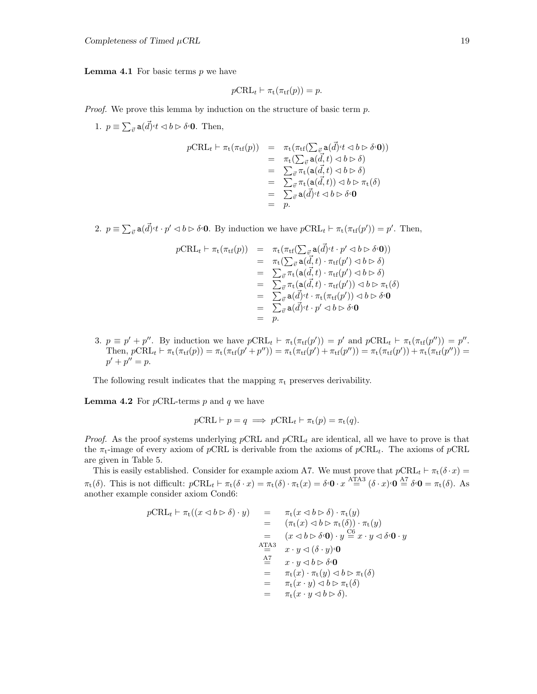**Lemma 4.1** For basic terms  $p$  we have

$$
p\text{CRL}_t \vdash \pi_t(\pi_{\text{tf}}(p)) = p.
$$

Proof. We prove this lemma by induction on the structure of basic term  $p$ .

1.  $p \equiv \sum_{\vec{v}} a(\vec{d}) \cdot t \langle b \rangle \delta \cdot \mathbf{0}$ . Then,

$$
p\text{CRL}_{t} \vdash \pi_{t}(\pi_{tf}(p)) = \pi_{t}(\pi_{tf}(\sum_{\vec{v}} a(\vec{d}) \cdot t \triangleleft b \triangleright \delta \cdot \mathbf{0}))
$$
  
\n
$$
= \pi_{t}(\sum_{\vec{v}} a(\vec{d}, t) \triangleleft b \triangleright \delta)
$$
  
\n
$$
= \sum_{\vec{v}} \pi_{t} (a(\vec{d}, t) \triangleleft b \triangleright \delta)
$$
  
\n
$$
= \sum_{\vec{v}} \pi_{t} (a(\vec{d}, t)) \triangleleft b \triangleright \pi_{t}(\delta)
$$
  
\n
$$
= \sum_{\vec{v}} a(\vec{d}) \cdot t \triangleleft b \triangleright \delta \cdot \mathbf{0}
$$
  
\n
$$
= p.
$$

2.  $p \equiv \sum_{\vec{v}} a(\vec{d}) \cdot t \cdot p' \lhd b \rhd \delta \cdot 0$ . By induction we have  $p\text{CRL}_t \vdash \pi_t(\pi_{\text{tf}}(p')) = p'$ . Then,

$$
pCRLt \vdash \pi_{t}(\pi_{tf}(p)) = \pi_{t}(\pi_{tf}(\sum_{\vec{v}} a(\vec{d}) \cdot t \cdot p' \lhd b \rhd \delta \cdot \mathbf{0}))
$$
  
\n
$$
= \pi_{t}(\sum_{\vec{v}} a(\vec{d}, t) \cdot \pi_{tf}(p') \lhd b \rhd \delta)
$$
  
\n
$$
= \sum_{\vec{v}} \pi_{t} (a(\vec{d}, t) \cdot \pi_{tf}(p') \lhd b \rhd \delta)
$$
  
\n
$$
= \sum_{\vec{v}} \pi_{t} (a(\vec{d}, t) \cdot \pi_{tf}(p')) \lhd b \rhd \pi_{t}(\delta)
$$
  
\n
$$
= \sum_{\vec{v}} a(\vec{d}) \cdot t \cdot \pi_{t} (\pi_{tf}(p')) \lhd b \rhd \delta \cdot \mathbf{0}
$$
  
\n
$$
= \sum_{\vec{v}} a(\vec{d}) \cdot t \cdot p' \lhd b \rhd \delta \cdot \mathbf{0}
$$
  
\n
$$
= p.
$$

3.  $p \equiv p' + p''$ . By induction we have  $p\text{CRL}_t \vdash \pi_t(\pi_{\text{tf}}(p')) = p'$  and  $p\text{CRL}_t \vdash \pi_t(\pi_{\text{tf}}(p'')) = p''$ . Then,  $p\text{CRL}_{t} \vdash \pi_t(\pi_{\text{tf}}(p)) = \pi_t(\pi_{\text{tf}}(p' + p'')) = \pi_t(\pi_{\text{tf}}(p') + \pi_{\text{tf}}(p'')) = \pi_t(\pi_{\text{tf}}(p')) + \pi_t(\pi_{\text{tf}}(p'')) =$  $p' + p'' = p.$ 

The following result indicates that the mapping  $\pi_t$  preserves derivability.

**Lemma 4.2** For  $p$ CRL-terms  $p$  and  $q$  we have

$$
p\text{CRL} \vdash p = q \implies p\text{CRL}_{t} \vdash \pi_{t}(p) = \pi_{t}(q).
$$

*Proof.* As the proof systems underlying pCRL and  $pCRL<sub>t</sub>$  are identical, all we have to prove is that the  $\pi_t$ -image of every axiom of pCRL is derivable from the axioms of pCRL<sub>t</sub>. The axioms of pCRL are given in Table 5.

This is easily established. Consider for example axiom A7. We must prove that  $p\text{CRL}_t \vdash \pi_t(\delta \cdot x) =$  $\pi_t(\delta)$ . This is not difficult:  $p\text{CRL}_t \vdash \pi_t(\delta \cdot x) = \pi_t(\delta) \cdot \pi_t(x) = \delta \cdot \mathbf{0} \cdot x \stackrel{\text{ATA3}}{=} (\delta \cdot x) \cdot \mathbf{0} \stackrel{\text{A7}}{=} \delta \cdot \mathbf{0} = \pi_t(\delta)$ . As another example consider axiom Cond6:

$$
p\text{CRL}_{t} \vdash \pi_{t}((x \triangleleft b \rhd \delta) \cdot y) = \pi_{t}(x \triangleleft b \rhd \delta) \cdot \pi_{t}(y)
$$
  
\n
$$
= (\pi_{t}(x) \triangleleft b \rhd \pi_{t}(\delta)) \cdot \pi_{t}(y)
$$
  
\n
$$
= (x \triangleleft b \rhd \delta \cdot \mathbf{0}) \cdot y \stackrel{\text{CG}}{=} x \cdot y \triangleleft \delta \cdot \mathbf{0} \cdot y
$$
  
\n
$$
\stackrel{\text{ATA3}}{=} x \cdot y \triangleleft (\delta \cdot y) \cdot \mathbf{0}
$$
  
\n
$$
\stackrel{\text{ATA3}}{=} x \cdot y \triangleleft b \rhd \delta \cdot \mathbf{0}
$$
  
\n
$$
= \pi_{t}(x) \cdot \pi_{t}(y) \triangleleft b \rhd \pi_{t}(\delta)
$$
  
\n
$$
= \pi_{t}(x \cdot y) \triangleleft b \rhd \pi_{t}(\delta)
$$
  
\n
$$
= \pi_{t}(x \cdot y \triangleleft b \rhd \delta).
$$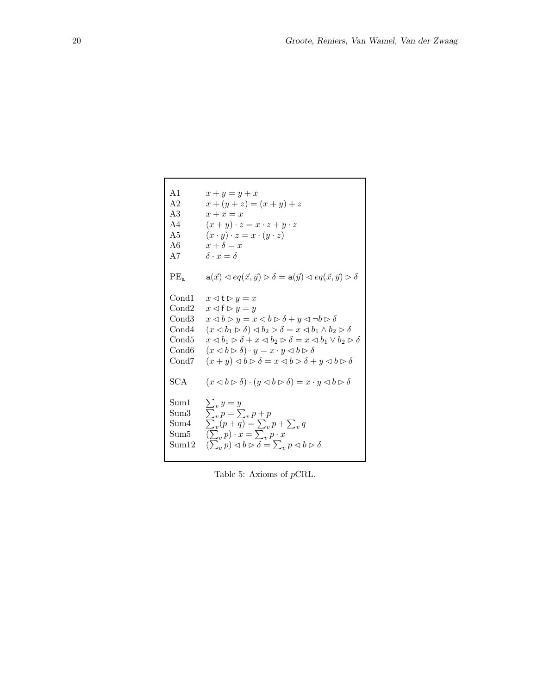```
A1 x + y = y + xA2 x + (y + z) = (x + y) + zA3 x + x = xA4 (x + y) \cdot z = x \cdot z + y \cdot zA5 (x \cdot y) \cdot z = x \cdot (y \cdot z)A6 x + \delta = x<br>A7 \delta \cdot x = \delta\delta \cdot x = \deltaPE_a a(\vec{x}) \triangleleft eq(\vec{x}, \vec{y}) \triangleright \delta = a(\vec{y}) \triangleleft eq(\vec{x}, \vec{y}) \triangleright \deltaCond1 x \triangleleft t \triangleright y = xCond2 x \triangleleft f \triangleright y = yCond3 x \triangleleft b \triangleright y = x \triangleleft b \triangleright \delta + y \triangleleft \neg b \triangleright \deltaCond4 (x \triangleleft b_1 \triangleright \delta) \triangleleft b_2 \triangleright \delta = x \triangleleft b_1 \wedge b_2 \triangleright \deltaCond5 x \triangleleft b_1 \triangleright \delta + x \triangleleft b_2 \triangleright \delta = x \triangleleft b_1 \vee b_2 \triangleright \delta<br>Cond6 (x \triangleleft b \triangleright \delta) \cdot y = x \cdot y \triangleleft b \triangleright \delta(x \triangleleft b \triangleright \delta) \cdot y = x \cdot y \triangleleft b \triangleright \deltaCond7 (x + y) \triangleleft b \triangleright \delta = x \triangleleft b \triangleright \delta + y \triangleleft b \triangleright \deltaSCA (x \triangleleft b \triangleright \delta) \cdot (y \triangleleft b \triangleright \delta) = x \cdot y \triangleleft b \triangleright \delta\operatorname{Sum1}\sum_{v} y = y\operatorname{Sum3}\sum_{v} p = \sum_{v} p + p\operatorname{Sum4}\overline{v}(p+\overline{q}) = \sum_{v} p + \sum_{v} q\operatorname{Sum5}(v, p) \cdot x = \sum_{v}^{v} p \cdot x\operatorname{Sum12}\sum_{v} p) \triangleleft b \triangleright \overline{\delta} = \sum_{v} p \triangleleft b \triangleright \delta
```
Table 5: Axioms of pCRL.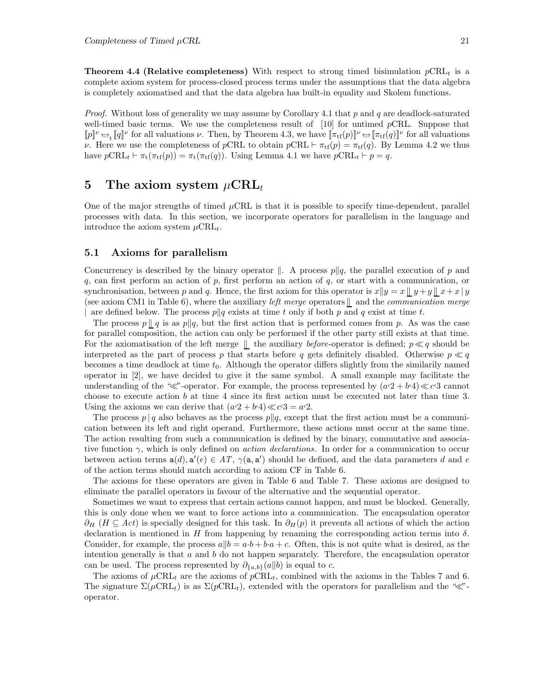**Theorem 4.4 (Relative completeness)** With respect to strong timed bisimulation  $p\n\textrm{CRL}_t$  is a complete axiom system for process-closed process terms under the assumptions that the data algebra is completely axiomatised and that the data algebra has built-in equality and Skolem functions.

*Proof.* Without loss of generality we may assume by Corollary 4.1 that p and q are deadlock-saturated well-timed basic terms. We use the completeness result of  $[10]$  for untimed pCRL. Suppose that  $[p] \cup \rightarrow [q]$ <sup>ν</sup> for all valuations *ν*. Then, by Theorem 4.3, we have  $[\pi_{\text{tf}}(p)] \cup \rightarrow [\pi_{\text{tf}}(q)]$ <sup>ν</sup> for all valuations v. Here we use the completeness of pCRL to obtain  $p\text{CRL} \vdash \pi_{\text{tf}}(p) = \pi_{\text{tf}}(q)$ . By Lemma 4.2 we thus have  $p\text{CRL}_t \vdash \pi_t(\pi_{\text{tf}}(p)) = \pi_t(\pi_{\text{tf}}(q)).$  Using Lemma 4.1 we have  $p\text{CRL}_t \vdash p = q$ .

# **5** The axiom system  $\mu$ CRL<sub>t</sub>

One of the major strengths of timed  $\mu$ CRL is that it is possible to specify time-dependent, parallel processes with data. In this section, we incorporate operators for parallelism in the language and introduce the axiom system  $\mu \text{CRL}_{t}$ .

#### **5.1 Axioms for parallelism**

Concurrency is described by the binary operator  $\Vert$ . A process  $p \Vert q$ , the parallel execution of p and  $q$ , can first perform an action of  $p$ , first perform an action of  $q$ , or start with a communication, or synchronisation, between p and q. Hence, the first axiom for this operator is  $x||y = x||y + y||x + x|y$ (see axiom CM1 in Table 6), where the auxiliary *left merge* operators  $\parallel$  and the *communication merge* are defined below. The process  $p||q$  exists at time t only if both p and q exist at time t.

The process  $p \mid q$  is as  $p \mid q$ , but the first action that is performed comes from p. As was the case for parallel composition, the action can only be performed if the other party still exists at that time. For the axiomatisation of the left merge  $\parallel$  the auxiliary before-operator is defined;  $p \ll q$  should be interpreted as the part of process p that starts before q gets definitely disabled. Otherwise  $p \ll q$ becomes a time deadlock at time  $t_0$ . Although the operator differs slightly from the similarily named operator in [2], we have decided to give it the same symbol. A small example may facilitate the understanding of the " $\ll$ "-operator. For example, the process represented by  $(a \cdot 2 + b \cdot 4) \ll c \cdot 3$  cannot choose to execute action  $b$  at time 4 since its first action must be executed not later than time 3. Using the axioms we can derive that  $(a<sup>c</sup>2 + b<sup>c</sup>4) \ll c<sup>c</sup>3 = a<sup>c</sup>2$ .

The process  $p \mid q$  also behaves as the process  $p \mid q$ , except that the first action must be a communication between its left and right operand. Furthermore, these actions must occur at the same time. The action resulting from such a communication is defined by the binary, commutative and associative function  $\gamma$ , which is only defined on *action declarations*. In order for a communication to occur between action terms  $a(d), a'(e) \in AT$ ,  $\gamma(a, a')$  should be defined, and the data parameters d and e of the action terms should match according to axiom CF in Table 6.

The axioms for these operators are given in Table 6 and Table 7. These axioms are designed to eliminate the parallel operators in favour of the alternative and the sequential operator.

Sometimes we want to express that certain actions cannot happen, and must be blocked. Generally, this is only done when we want to force actions into a communication. The encapsulation operator  $\partial_H$  (H ⊆ Act) is specially designed for this task. In  $\partial_H(p)$  it prevents all actions of which the action declaration is mentioned in H from happening by renaming the corresponding action terms into  $\delta$ . Consider, for example, the process  $a||b = a \cdot b + b \cdot a + c$ . Often, this is not quite what is desired, as the intention generally is that  $a$  and  $b$  do not happen separately. Therefore, the encapsulation operator can be used. The process represented by  $\partial_{\{a,b\}}(a||b)$  is equal to c.

The axioms of  $\mu$ CRL<sub>t</sub> are the axioms of  $p$ CRL<sub>t</sub>, combined with the axioms in the Tables 7 and 6. The signature  $\Sigma(\mu \text{CRL}_t)$  is as  $\Sigma(p \text{CRL}_t)$ , extended with the operators for parallelism and the " $\ll$ "operator.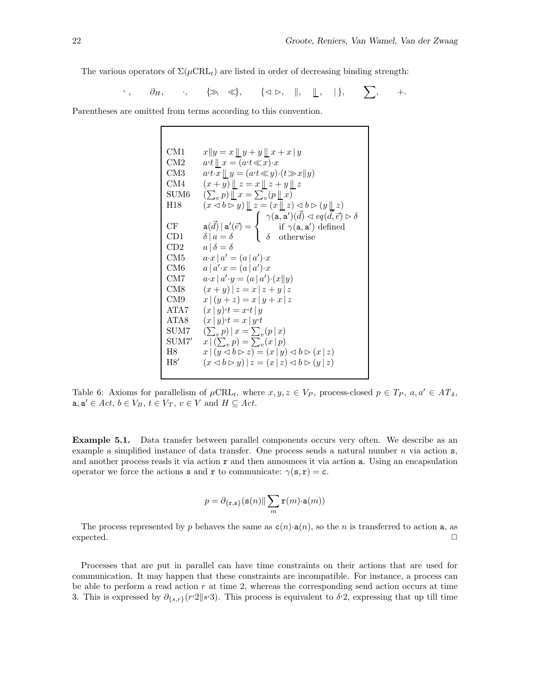The various operators of  $\Sigma(\mu \text{CRL}_t)$  are listed in order of decreasing binding strength:

$$
\xi, \quad \partial_H, \quad \xi, \quad \{\gg, \ll\}, \quad \{\ll\varphi, \quad \|, \quad \|, \quad \xi\}, \quad \sum, \quad +.
$$

Parentheses are omitted from terms according to this convention.

CM1  $x \| y = x \underline{\|} y + y \underline{\|} x + x | y$ CM2  $a^{\epsilon}t \perp x = (a^{\epsilon}t \ll x) \cdot x$ CM3  $a \cdot t \cdot x \parallel y = (a \cdot t \ll y) \cdot (t \gg x \parallel y)$ CM4  $(x + y) || z = x || z + y || z$  $SUM6$  $(v, p)$   $\overline{\mathbb{L}} x = \sum_{v} (p \mathbb{L} x)$ H18  $(x \triangleleft b \triangleright y) \parallel z = (x \parallel z) \triangleleft b \triangleright (y \parallel z)$  $\mathrm{CF} \qquad \quad \mathsf{a}(\vec{d})\,|\,\mathsf{a}'(\vec{e}) =$  $\sqrt{ }$  $\frac{1}{2}$  $\mathbf{I}$  $\gamma(\mathsf{a},\mathsf{a}^\prime)(\vec{d})\lhd eq(\vec{d},\vec{e})\rhd\delta$ if  $\gamma(\mathsf{a}, \mathsf{a}')$  defined CD1  $\delta | a = \delta$   $\delta$  otherwise CD2  $a | \delta = \delta$ CM5  $a \cdot x \mid a' = (a \mid a') \cdot x$  $\rm CM6$  $\cdot x = (a \mid a') \cdot x$ CM7  $a \cdot x \mid a' \cdot y = (a \mid a') \cdot (x \mid y)$ CM8  $(x + y) | z = x | z + y | z$ CM9  $x | (y + z) = x | y + x | z$ ATA7  $(x | y) \cdot t = x \cdot t | y$ ATA8  $(x | y) \cdot t = x | y \cdot t$  $SUM7$  $\sum_{v} p$  |  $x = \sum_{v} (p | x)$ <br> $\sum_{v} p$  =  $\sum_{v} (x | p)$  $SUM7'$ H8  $x \mid (y \triangleleft b \triangleright z) = (x \mid y) \triangleleft b \triangleright (x \mid z)$ H8'  $(x \triangleleft b \triangleright y) | z = (x | z) \triangleleft b \triangleright (y | z)$ 

Table 6: Axioms for parallelism of  $\mu$ CRL<sub>t</sub>, where  $x, y, z \in V_P$ , process-closed  $p \in T_P$ ,  $a, a' \in AT_\delta$ ,  $\mathbf{a}, \mathbf{a}' \in Act, b \in V_B, t \in V_T, v \in V \text{ and } H \subseteq Act.$ 

**Example 5.1.** Data transfer between parallel components occurs very often. We describe as an example a simplified instance of data transfer. One process sends a natural number  $n$  via action  $s$ , and another process reads it via action  $r$  and then announces it via action  $a$ . Using an encapsulation operator we force the actions **s** and **r** to communicate:  $\gamma(\mathbf{s}, \mathbf{r}) = \mathbf{c}$ .

$$
p = \partial_{\{\mathbf{r},\mathbf{s}\}}(\mathbf{s}(n)\|\sum_m \mathbf{r}(m)\!\cdot\!\mathbf{a}(m))
$$

The process represented by p behaves the same as  $c(n) \cdot a(n)$ , so the n is transferred to action a, as  $\Box$  expected.  $\Box$ 

Processes that are put in parallel can have time constraints on their actions that are used for communication. It may happen that these constraints are incompatible. For instance, a process can be able to perform a read action  $r$  at time 2, whereas the corresponding send action occurs at time 3. This is expressed by  $\partial_{\{s,r\}}(r\cdot2\|s\cdot3)$ . This process is equivalent to  $\delta\cdot2$ , expressing that up till time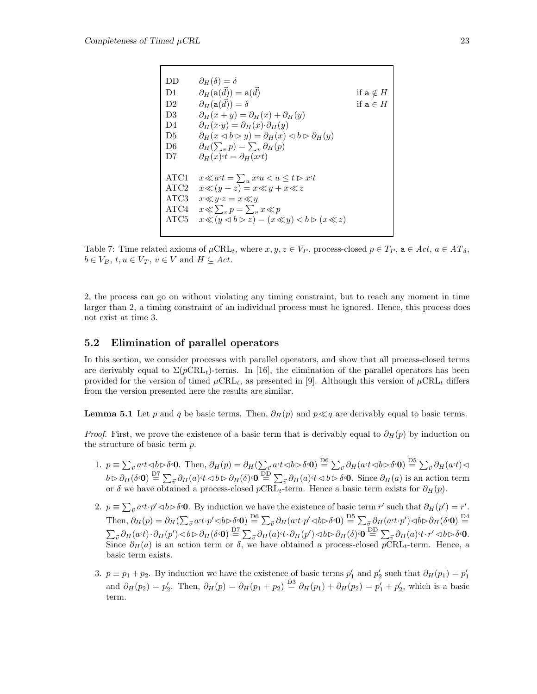| $\partial_H(\delta)=\delta$<br>DD<br>$\partial_H(\mathtt{a}(\vec{d}))=\mathtt{a}(\vec{d})$<br>D1<br>$\partial_H(\mathtt{a}(\vec{d}))=\delta$<br>D <sub>2</sub><br>$\partial_H(x+y) = \partial_H(x) + \partial_H(y)$<br>D <sub>3</sub><br>$\partial_H(x \cdot y) = \partial_H(x) \cdot \partial_H(y)$<br>D4<br>$\partial_H(x \triangleleft b \triangleright y) = \partial_H(x) \triangleleft b \triangleright \partial_H(y)$<br>D5<br>$\partial_H(\sum_p p) = \sum_p \partial_H(p)$<br>D <sub>6</sub><br>$\partial_H(x) \cdot t = \partial_H(x \cdot t)$<br>D7<br>$x \ll a \cdot t = \sum_{u} x \cdot u \lhd u \leq t \rhd x \cdot t$<br>ATC1<br>$x \ll (y + z) = x \ll y + x \ll z$<br>$x \ll y \cdot z = x \ll y$<br>$x \ll \sum_{n} p = \sum_{n} x \ll p$<br>$x \ll (y \lhd b \rhd z) = (x \ll y) \lhd b \rhd (x \ll z)$ |                 |
|----------------------------------------------------------------------------------------------------------------------------------------------------------------------------------------------------------------------------------------------------------------------------------------------------------------------------------------------------------------------------------------------------------------------------------------------------------------------------------------------------------------------------------------------------------------------------------------------------------------------------------------------------------------------------------------------------------------------------------------------------------------------------------------------------------------------------|-----------------|
|                                                                                                                                                                                                                                                                                                                                                                                                                                                                                                                                                                                                                                                                                                                                                                                                                            |                 |
|                                                                                                                                                                                                                                                                                                                                                                                                                                                                                                                                                                                                                                                                                                                                                                                                                            | if $a \notin H$ |
|                                                                                                                                                                                                                                                                                                                                                                                                                                                                                                                                                                                                                                                                                                                                                                                                                            | if $a \in H$    |
|                                                                                                                                                                                                                                                                                                                                                                                                                                                                                                                                                                                                                                                                                                                                                                                                                            |                 |
|                                                                                                                                                                                                                                                                                                                                                                                                                                                                                                                                                                                                                                                                                                                                                                                                                            |                 |
|                                                                                                                                                                                                                                                                                                                                                                                                                                                                                                                                                                                                                                                                                                                                                                                                                            |                 |
|                                                                                                                                                                                                                                                                                                                                                                                                                                                                                                                                                                                                                                                                                                                                                                                                                            |                 |
|                                                                                                                                                                                                                                                                                                                                                                                                                                                                                                                                                                                                                                                                                                                                                                                                                            |                 |
| ATC <sub>2</sub><br>ATC <sub>3</sub><br>ATC4<br>ATC5                                                                                                                                                                                                                                                                                                                                                                                                                                                                                                                                                                                                                                                                                                                                                                       |                 |
|                                                                                                                                                                                                                                                                                                                                                                                                                                                                                                                                                                                                                                                                                                                                                                                                                            |                 |
|                                                                                                                                                                                                                                                                                                                                                                                                                                                                                                                                                                                                                                                                                                                                                                                                                            |                 |
|                                                                                                                                                                                                                                                                                                                                                                                                                                                                                                                                                                                                                                                                                                                                                                                                                            |                 |
|                                                                                                                                                                                                                                                                                                                                                                                                                                                                                                                                                                                                                                                                                                                                                                                                                            |                 |

Table 7: Time related axioms of  $\mu \text{CRL}_t$ , where  $x, y, z \in V_P$ , process-closed  $p \in T_P$ ,  $\mathbf{a} \in \text{Act}, a \in AT_\delta$ ,  $b \in V_B$ ,  $t, u \in V_T$ ,  $v \in V$  and  $H \subseteq Act$ .

2, the process can go on without violating any timing constraint, but to reach any moment in time larger than 2, a timing constraint of an individual process must be ignored. Hence, this process does not exist at time 3.

#### **5.2 Elimination of parallel operators**

In this section, we consider processes with parallel operators, and show that all process-closed terms are derivably equal to  $\Sigma(p\text{CRL}_t)$ -terms. In [16], the elimination of the parallel operators has been provided for the version of timed  $\mu$ CRL<sub>t</sub>, as presented in [9]. Although this version of  $\mu$ CRL<sub>t</sub> differs from the version presented here the results are similar.

**Lemma 5.1** Let p and q be basic terms. Then,  $\partial_H(p)$  and  $p \ll q$  are derivably equal to basic terms.

*Proof.* First, we prove the existence of a basic term that is derivably equal to  $\partial_H(p)$  by induction on the structure of basic term p.

- 1.  $p \equiv \sum_{\vec{v}} a \cdot t \langle b \rangle \delta \cdot \mathbf{0}$ . Then,  $\partial_H(p) = \partial_H(\sum_{\vec{v}} a \cdot t \langle b \rangle \delta \cdot \mathbf{0}) \stackrel{\text{D6}}{=} \sum_{\vec{v}} \partial_H(a \cdot t \langle b \rangle \delta \cdot \mathbf{0}) \stackrel{\text{D5}}{=} \sum_{\vec{v}} \partial_H(a \cdot t \langle b \rangle \delta \cdot \mathbf{0})$  $b \rhd \partial_H(\delta \cdot \mathbf{0}) \stackrel{\text{D7}}{=} \sum_{\vec{v}} \partial_H(a) \cdot t \langle \phi \rangle \cdot \mathbf{0} \stackrel{\text{D5}}{=} \sum_{\vec{v}} \partial_H(a) \cdot t \langle \phi \rangle \cdot \mathbf{0}$ . Since  $\partial_H(a)$  is an action term or  $\delta$  we have obtained a process-closed  $p\text{CRL}_t$ -term. Hence a basic term exists for  $\partial_H(p)$ .
- 2.  $p \equiv \sum_{\vec{v}} a \cdot t \cdot p' \langle \vec{v} \rangle \delta \cdot \mathbf{0}$ . By induction we have the existence of basic term r' such that  $\partial_H(p') = r'$ .  $\text{Then, } \partial_H(p) = \partial_H(\sum_{\vec{v}} a \cdot t \cdot p' \triangleleft b \triangleright \delta \cdot \mathbf{0}) \stackrel{\text{D6}}{=} \sum_{\vec{v}} \partial_H(a \cdot t \cdot p' \triangleleft b \triangleright \delta \cdot \mathbf{0}) \stackrel{\text{D5}}{=} \sum_{\vec{v}} \partial_H(a \cdot t \cdot p') \triangleleft b \triangleright \partial_H(\delta \cdot \mathbf{0}) \stackrel{\text{D4}}{=}$  $\sum_{\vec{v}} \partial_H(a \cdot t) \cdot \partial_H(p') \lhd b \rhd \partial_H(\delta \cdot \mathbf{0}) \stackrel{\text{D7}}{=} \sum_{\vec{v}} \partial_H(a) \cdot t \cdot \partial_H(p') \lhd b \rhd \partial_H(\delta) \cdot \mathbf{0} \stackrel{\text{DD}}{=} \sum_{\vec{v}} \partial_H(a) \cdot t \cdot r' \lhd b \rhd \delta \cdot \mathbf{0}.$ Since  $\partial_H(a)$  is an action term or  $\delta$ , we have obtained a process-closed  $pCRL_t$ -term. Hence, a basic term exists.
- 3.  $p \equiv p_1 + p_2$ . By induction we have the existence of basic terms  $p'_1$  and  $p'_2$  such that  $\partial_H(p_1) = p'_1$ and  $\partial_H(p_2) = p'_2$ . Then,  $\partial_H(p) = \partial_H(p_1 + p_2) \stackrel{\text{D3}}{=} \partial_H(p_1) + \partial_H(p_2) = p'_1 + p'_2$ , which is a basic term.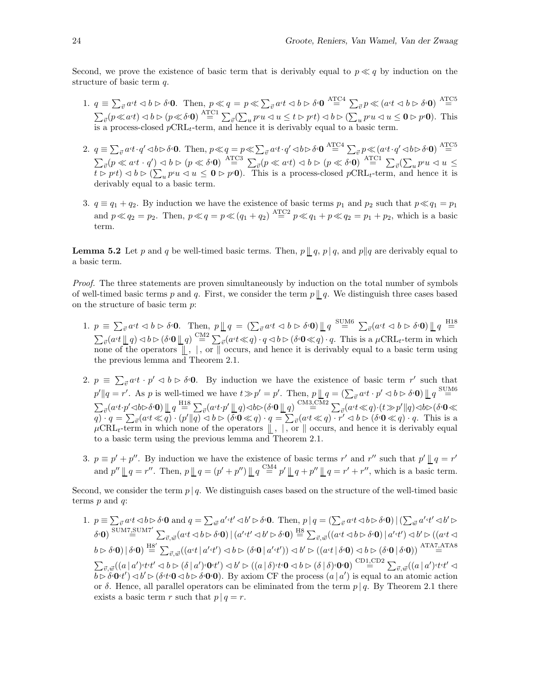Second, we prove the existence of basic term that is derivably equal to  $p \ll q$  by induction on the structure of basic term q.

- 1.  $q \equiv \sum_{\vec{v}} a \cdot t \langle b \rangle \langle \delta \cdot 0$ . Then,  $p \ll q = p \ll \sum_{\vec{v}} a \cdot t \langle b \rangle \langle \delta \cdot 0 \rangle \stackrel{\text{ATC4}}{=} \sum_{\vec{v}} p \ll (a \cdot t \langle b \rangle \langle \delta \cdot 0 \rangle) \stackrel{\text{ATC5}}{=}$  $\sum_{\vec{v}}(p \ll a \cdot t) \lhd b \rhd (p \ll \delta \cdot \mathbf{0}) \stackrel{\text{ATCI}}{=} \sum_{\vec{v}}(\sum_u p \cdot u \lhd u \leq t \rhd p \cdot t) \lhd b \rhd (\sum_u p \cdot u \lhd u \leq \mathbf{0} \rhd p \cdot \mathbf{0}).$  This is a process-closed  $p\text{CRL}_t$ -term, and hence it is derivably equal to a basic term.
- 2.  $q \equiv \sum_{\vec{v}} a \cdot t \cdot q' \lhd b \rhd \delta \cdot 0$ . Then,  $p \ll q = p \ll \sum_{\vec{v}} a \cdot t \cdot q' \lhd b \rhd \delta \cdot 0 \stackrel{\text{ATC4}}{=} \sum_{\vec{v}} p \ll (a \cdot t \cdot q' \lhd b \rhd \delta \cdot 0) \stackrel{\text{ATC5}}{=}$  $\sum_{\vec{v}}(p \ll a \cdot t \cdot q') \lhd b \rhd (p \ll \delta \cdot 0) \stackrel{\text{ATC3}}{=} \sum_{\vec{v}}(p \ll a \cdot t) \lhd b \rhd (p \ll \delta \cdot 0) \stackrel{\text{ATC1}}{=} \sum_{\vec{v}}(\sum_{u} p \cdot u \lhd u \leq b \cdot \delta \cdot 0)$  $\overline{t} > p \cdot t$ )  $0 > \sum_u p \cdot u \leq 0$   $> p \cdot 0$ ). This is a process-closed  $p \text{CRL}_t$ -term, and hence it is derivably equal to a basic term.
- 3.  $q \equiv q_1 + q_2$ . By induction we have the existence of basic terms  $p_1$  and  $p_2$  such that  $p \ll q_1 = p_1$ and  $p \ll q_2 = p_2$ . Then,  $p \ll q = p \ll (q_1 + q_2) \stackrel{\text{ATC2}}{=} p \ll q_1 + p \ll q_2 = p_1 + p_2$ , which is a basic term.

**Lemma 5.2** Let p and q be well-timed basic terms. Then,  $p \parallel q$ ,  $p \mid q$ , and  $p \parallel q$  are derivably equal to a basic term.

Proof. The three statements are proven simultaneously by induction on the total number of symbols of well-timed basic terms p and q. First, we consider the term  $p \parallel q$ . We distinguish three cases based on the structure of basic term p:

- 1.  $p \equiv \sum_{\vec{v}} a \cdot t \langle b \rangle \langle \delta \cdot 0$ . Then,  $p \parallel q = (\sum_{\vec{v}} a \cdot t \langle \delta \rangle \langle \delta \cdot 0) \parallel q \stackrel{\text{SUM6}}{=} \sum_{\vec{v}} (a \cdot t \langle \delta \rangle \langle \delta \cdot 0) \parallel q \stackrel{\text{H18}}{=}$  $\sum_{\vec{v}} (a \cdot t \parallel q) \triangleleft b \triangleright (\delta \cdot \mathbf{0} \parallel q) \stackrel{\text{CM2}}{=} \sum_{\vec{v}} (a \cdot t \ll q) \cdot q \triangleleft b \triangleright (\delta \cdot \mathbf{0} \ll q) \cdot q$ . This is a  $\mu \text{CRL}_t$ -term in which none of the operators  $\parallel$ ,  $\parallel$ , or  $\parallel$  occurs, and hence it is derivably equal to a basic term using the previous lemma and Theorem 2.1.
- 2.  $p \equiv \sum_{\vec{v}} a \cdot t \cdot p' \leq b \geq \delta \cdot 0$ . By induction we have the existence of basic term r' such that  $p' \| q = r'$ . As p is well-timed we have  $t \gg p' = p'$ . Then,  $p \| q = (\sum_{\vec{v}} a \cdot t \cdot p' \lhd b \rhd \delta \cdot \mathbf{0}) \| q \stackrel{\text{SUM6}}{=}$  $\sum_{\vec{v}}(a\cdot t\cdot p'\lhd b\rhd\delta\cdot\mathbf{0})\mathop{\hskip0pt{\rm l}}\nolimits_q\stackrel{\rm H18}{=} \sum_{\vec{v}}(a\cdot t\cdot p'\mathop{\hskip0pt{\rm l}}\nolimits_q)\lhd b\rhd(\delta\cdot\mathbf{0}\mathop{\hskip0pt{\rm l}}\nolimits_q)\stackrel{\rm CM3,CM2}{=} \sum_{\vec{v}}(a\cdot t\ll q)\cdot(t\gg p'\|q)\lhd b\rhd(\delta\cdot\mathbf{0}\ll q')$  $\overline{q}$  ·  $q = \sum_{\vec{v}} (a \cdot t \ll \overline{q}) \cdot (p' || \overline{q}) \lhd b \rhd (\delta \cdot 0 \ll q) \cdot q = \sum_{\vec{v}} (a \cdot t \ll q) \cdot \overline{r'} \lhd b \rhd (\delta \cdot 0 \ll q) \cdot q$ . This is a  $\mu$ CRL<sub>t</sub>-term in which none of the operators  $\parallel$ , |, or  $\parallel$  occurs, and hence it is derivably equal to a basic term using the previous lemma and Theorem 2.1.
- 3.  $p \equiv p' + p''$ . By induction we have the existence of basic terms r' and r'' such that  $p' \parallel q = r'$ and  $p'' \parallel q = r''$ . Then,  $p \parallel q = (p' + p'') \parallel q \stackrel{\text{CM4}}{=} p' \parallel q + p'' \parallel q = r' + r''$ , which is a basic term.

Second, we consider the term  $p \mid q$ . We distinguish cases based on the structure of the well-timed basic terms  $p$  and  $q$ :

1.  $p \equiv \sum_{\vec{v}} a \cdot t \langle b \rangle \langle \delta \cdot \mathbf{0} \rangle$  and  $q = \sum_{\vec{w}} a' \cdot t' \langle \delta \rangle \langle \delta \cdot \mathbf{0} \rangle$ . Then,  $p | q = (\sum_{\vec{v}} a \cdot t \langle \delta \rangle \langle \delta \cdot \mathbf{0}) | (\sum_{\vec{w}} a' \cdot t' \langle \delta \rangle \langle \delta \cdot \mathbf{0})$  $\delta$ **·0**)  $\sum_{\vec{v},\vec{w}} \sin^2 \sum_{\vec{v},\vec{w}} (a \cdot t \mathrel{\triangleleft} b \mathrel{\triangleright} \delta \cdot \mathbf{0}) \mid (a' \cdot t' \mathrel{\triangleleft} b' \mathrel{\triangleright} \delta \cdot \mathbf{0}) \stackrel{\text{HS}}{=} \sum_{\vec{v},\vec{w}} ((a \cdot t \mathrel{\triangleleft} b \mathrel{\triangleright} \delta \cdot \mathbf{0}) \mid a' \cdot t') \mathrel{\triangleleft} b' \mathrel{\triangleright} ((a \cdot t \mathrel{\triangleleft} b' \mathrel{\triangleright} \delta \cdot \mathbf{0}) \mid$  $\left(b\triangleright \delta\!\cdot\!\mathbf{0}\right)\mid \delta\!\cdot\!\mathbf{0} \right)\stackrel{\mathrm{HS}'}{=} \sum_{\vec{v},\vec{w}}((a\!\cdot\! t\mid a'\!\cdot\! t')\lhd b\triangleright (\delta\!\cdot\!\mathbf{0}\mid a'\!\cdot\! t'))\lhd b'\triangleright ((a\!\cdot\! t\mid \delta\!\cdot\!\mathbf{0})\lhd b\triangleright (\delta\!\cdot\!\mathbf{0}\mid \delta\!\cdot\!\mathbf{0}))\stackrel{\mathrm{ATAZ}\cdot\mathrm{ATAZ}}{=}$  $\sum_{\vec{v},\vec{w}}((a\,|\,a')\cdot t\cdot t'\lhd b\rhd (\delta\,|\,a')\cdot 0\cdot t')\lhd b'\rhd ((a\,|\,\delta)\cdot t\cdot 0\lhd b\rhd (\delta\,|\,\delta)\cdot 0\cdot 0)\stackrel{\mathrm{CD1,CD2}}{=} \sum_{\vec{v},\vec{w}}((a\,|\,a')\cdot t\cdot t'\lhd b')$  $b \triangleright \delta \cdot \mathbf{0} \cdot t'$   $\triangleleft b' \triangleright (\delta \cdot t \cdot \mathbf{0} \triangleleft b \triangleright \delta \cdot \mathbf{0} \cdot \mathbf{0})$ . By axiom CF the process  $(a | a')$  is equal to an atomic action or δ. Hence, all parallel operators can be eliminated from the term  $p \mid q$ . By Theorem 2.1 there exists a basic term r such that  $p \mid q = r$ .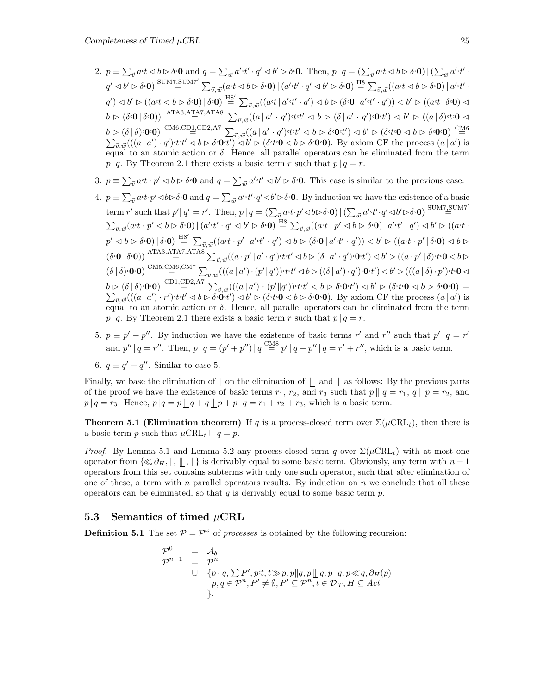- 2.  $p \equiv \sum_{\vec{v}} a \cdot t \langle b \rangle \langle b \cdot \mathbf{0} \rangle$  and  $q = \sum_{\vec{w}} a' \cdot t' \cdot q' \langle b' \rangle \langle b \cdot \mathbf{0} \rangle$ . Then,  $p | q = (\sum_{\vec{v}} a \cdot t \langle b \rangle \langle b \cdot \mathbf{0}) | (\sum_{\vec{w}} a' \cdot t' \cdot \mathbf{0})$ q<sup>0</sup> ✁ b<sup>0</sup> ✄ δ,**0**) SUM7,SUM7<sup>0</sup> = P ~v,~w(a,t ✁ b ✄ δ,**0**)|(a<sup>0</sup> ,t<sup>0</sup> · q<sup>0</sup> ✁ b<sup>0</sup> ✄ δ,**0**) H8 = P ~v, ~w((a,t ✁ b ✄ δ,**0**)| a<sup>0</sup> ,t<sup>0</sup> ·  $\mathcal{L}(q') \lhd b' \rhd ((a \cdot t \lhd b \rhd \delta \cdot \mathbf{0}) \rvert \delta \cdot \mathbf{0}) \stackrel{\text{HS}'}{=} \sum_{\vec{v}, \vec{w}} ((a \cdot t \lvert a' \cdot t' \cdot q') \lhd b \rhd (\delta \cdot \mathbf{0} \lvert a' \cdot t' \cdot q')) \lhd b' \rhd ((a \cdot t \lvert \delta \cdot \mathbf{0}) \lhd$  $b \vartriangleright (\delta \cdot \mathbf{0} \, | \, \delta \cdot \mathbf{0})) \; \stackrel{\textrm{ATA3,ATA7,ATA8}}{=} \; \sum_{\vec{v},\vec{w}} ((a\, | \, a' \, \cdot \, q') \cdot t \cdot t' \vartriangleleft b \vartriangleright (\delta \, | \, a' \, \cdot \, q') \cdot \mathbf{0} \cdot t') \vartriangleleft b' \vartriangleright ((a\, | \, \delta) \cdot t \cdot \mathbf{0} \vartriangleleft b') \, | \, \delta \cdot \mathbf{0} \cdot \mathbf{0})$  $b \rhd (\delta | \delta) \cdot 0 \cdot 0$ )  $\overset{\text{CM6},\text{CD1},\text{CD2},\text{AT}}{=} \sum_{\vec{v},\vec{w}} ((a | a' \cdot q') \cdot t \cdot t' \lhd b \rhd \delta \cdot 0 \cdot t') \lhd b' \rhd (\delta \cdot t \cdot 0 \lhd b \rhd \delta \cdot 0 \cdot 0)$   $\overset{\text{CM6}}{=} \sum_{\vec{v},\vec{w}} ((a | a') \cdot q') \cdot t \cdot t' \lhd b \rhd \delta \cdot 0 \cdot t') \lhd b' \rhd (\delta \cdot t \cdot 0 \lhd b \rhd \delta \cdot$ equal to an atomic action or  $\delta$ . Hence, all parallel operators can be eliminated from the term  $p | q$ . By Theorem 2.1 there exists a basic term r such that  $p | q = r$ .
- 3.  $p \equiv \sum_{\vec{v}} a \cdot t \cdot p' \leq b \cdot \delta \cdot \mathbf{0}$  and  $q = \sum_{\vec{w}} a' \cdot t' \leq b' \cdot \delta \cdot \mathbf{0}$ . This case is similar to the previous case.
- 4.  $p \equiv \sum_{\vec{v}} a \cdot t \cdot p' \langle \vec{v} \rangle \delta \cdot \mathbf{0}$  and  $q = \sum_{\vec{w}} a' \cdot t' \cdot q' \langle \vec{v} \rangle \delta \cdot \mathbf{0}$ . By induction we have the existence of a basic term r' such that  $p'||q' = r'$ . Then,  $p \mid q = (\sum_{\vec{v}} a \cdot t \cdot p' \triangleleft b \triangleright \delta \cdot \mathbf{0}) | (\sum_{\vec{w}} a' \cdot t' \cdot q' \triangleleft b' \triangleright \delta \cdot \mathbf{0})$ <sup>SUM7</sup>.SUM7'  $\sum_{\vec{v},\vec{w}}(a\cdot t\cdot p'\lhd b\rhd \delta\cdot \mathbf{0})\mid (a'\cdot t'\cdot q'\lhd b'\rhd \delta\cdot \mathbf{0})\stackrel{\text{HS}}{=} \sum_{\vec{v},\vec{w}}((a\cdot t\cdot p'\lhd b\rhd \delta\cdot \mathbf{0})\mid a'\cdot t'\cdot q')\lhd b'\rhd ((a\cdot t\cdot p'\lhd b\lhd \delta\cdot \mathbf{0})\mid a'\cdot t'\cdot q')$  $p' \lhd b \rhd \delta \cdot \mathbf{0})~|~\delta \cdot \mathbf{0})~\stackrel{\text{H8}'}{=}~\sum_{\vec{v},\vec{w}}((a \lhd t \cdot p' \,|\, a' \lhd t' \cdot q') \lhd b \rhd (\delta \cdot \mathbf{0} \,|\, a' \lhd t' \cdot q')) \lhd b' \rhd ((a \lhd t \cdot p' \,|\, \delta \cdot \mathbf{0}) \lhd b \rhd \mathbf{0})$  $\left(\delta\cdot\mathbf{0}\left|\right.\delta\cdot\mathbf{0}\right)\right)\stackrel{\text{ATA3,ATA7,ATA8}}{=} \sum_{\vec{v},\vec{w}}((a\cdot p'\left|\right. a'\cdot q')\cdot t\cdot t'\triangleleft b\triangleright (\delta\left|\right. a'\cdot q')\cdot \mathbf{0}\cdot t')\triangleleft b'\triangleright ((a\cdot p'\left|\right. \delta)\cdot t\cdot \mathbf{0}\triangleleft b\triangleright b')\cdot t'\cdot \mathbf{0}\right)$  $(\delta \,|\, \delta) \cdot \mathbf{0} \cdot \mathbf{0}) \overset{\mathrm{CM5},\mathrm{CM6},\mathrm{CM7}}{=} \sum_{\vec{v},\vec{w}}(((a\,|\, a') \cdot (p'\|q')) \cdot t \cdot t' \lhd b \rhd ((\delta \,|\, a') \cdot q') \cdot \mathbf{0} \cdot t') \lhd b' \rhd (((a\,|\, \delta) \cdot p') \cdot t \cdot \mathbf{0} \lhd \mathbf{0})$  $b \rhd (\delta | \delta) \cdot 0 \cdot 0$ )  $\overset{\text{CD1,CD2,A7}}{=} \sum_{\vec{v},\vec{w}} (((a | a') \cdot (p' || q'))^{\epsilon} t t' \lhd b \rhd \delta \cdot 0 t') \lhd b' \rhd (\delta \cdot t \cdot 0 \lhd b \rhd \delta \cdot 0 \cdot 0) = \sum_{\vec{v},\vec{w}} (((a | a') \cdot r')^{\epsilon} t t' \lhd b \rhd \delta \cdot 0 t') \lhd b' \rhd (\delta \cdot t \cdot 0 \lhd b \rhd \delta \cdot 0 \cdot 0).$  By axiom CF the p equal to an atomic action or  $\delta$ . Hence, all parallel operators can be eliminated from the term  $p | q$ . By Theorem 2.1 there exists a basic term r such that  $p | q = r$ .
- 5.  $p \equiv p' + p''$ . By induction we have the existence of basic terms r' and r'' such that  $p' | q = r'$ and  $p'' | q = r''$ . Then,  $p | q = (p' + p'') | q \stackrel{\text{CMS}}{=} p' | q + p'' | q = r' + r''$ , which is a basic term.
- 6.  $q \equiv q' + q''$ . Similar to case 5.

Finally, we base the elimination of  $\parallel$  on the elimination of  $\parallel$  and  $\parallel$  as follows: By the previous parts of the proof we have the existence of basic terms  $r_1$ ,  $r_2$ , and  $r_3$  such that  $p \mid q = r_1$ ,  $q \mid p = r_2$ , and  $p | q = r_3$ . Hence,  $p || q = p || q + q || p + p | q = r_1 + r_2 + r_3$ , which is a basic term.

**Theorem 5.1 (Elimination theorem)** If q is a process-closed term over  $\Sigma(\mu \text{CRL}_t)$ , then there is a basic term p such that  $\mu \text{CRL}_{t} \vdash q = p$ .

*Proof.* By Lemma 5.1 and Lemma 5.2 any process-closed term q over  $\Sigma(\mu \text{CRL}_t)$  with at most one operator from  $\{\ll \partial_H, \|\, , \| \}$  is derivably equal to some basic term. Obviously, any term with  $n + 1$ operators from this set contains subterms with only one such operator, such that after elimination of one of these, a term with n parallel operators results. By induction on  $n$  we conclude that all these operators can be eliminated, so that q is derivably equal to some basic term  $p$ .

#### **5.3 Semantics of timed** µ**CRL**

**Definition 5.1** The set  $P = P^{\omega}$  of processes is obtained by the following recursion:

$$
\begin{array}{rcl}\n\mathcal{P}^0 & = & \mathcal{A}_{\delta} \\
\mathcal{P}^{n+1} & = & \mathcal{P}^n \\
\cup & \{p \cdot q, \sum P', pt, t \gg p, p \| q, p \parallel q, p \mid q, p \ll q, \partial_H(p) \\
& | p, q \in \mathcal{P}^n, P' \neq \emptyset, P' \subseteq \mathcal{P}^n, t \in \mathcal{D}_T, H \subseteq Act \\
\}. \end{array}
$$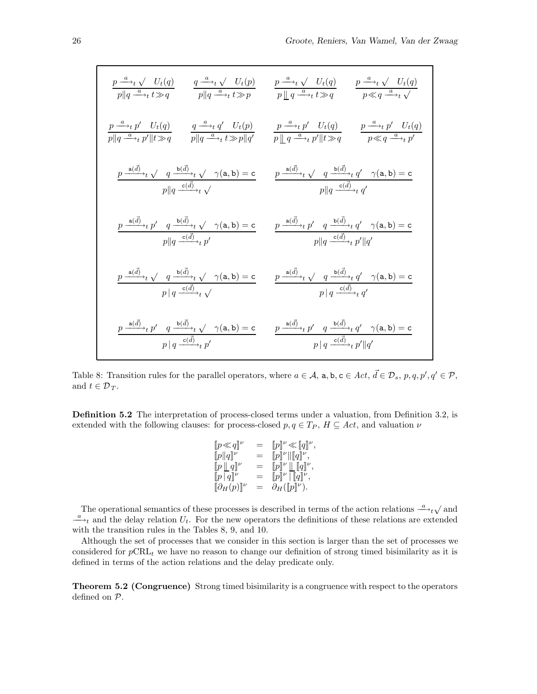$$
\frac{p\xrightarrow{a}+ \sqrt{U_t(q)}}{p||q\xrightarrow{a}+t\gg q} \qquad \frac{q\xrightarrow{a}+ \sqrt{U_t(p)}}{p||q\xrightarrow{a}+t\gg p} \qquad \frac{p\xrightarrow{a}+ \sqrt{U_t(q)}}{p||q\xrightarrow{a}+t\gg q} \qquad \frac{p\xrightarrow{a}+ \sqrt{U_t(q)}}{p\ll q\xrightarrow{a}+t\sqrt{Q_t(q)}} \\
\frac{p\xrightarrow{a}+p'\ U_t(q)}{p||q\xrightarrow{a}+p'||t\gg q} \qquad \frac{q\xrightarrow{a}+q'\ U_t(p)}{p||q\xrightarrow{a}+t\gg p||q'} \qquad \frac{p\xrightarrow{a}+p'\ U_t(q)}{p||q\xrightarrow{a}+p'||t\gg q} \qquad \frac{p\xrightarrow{a}+p'\ U_t(q)}{p\ll q\xrightarrow{a}+p'}
$$
\n
$$
\frac{p\xrightarrow{a(\overline{d})}+ \sqrt{q\xrightarrow{b(\overline{d})}+ \sqrt{q}(\mathbf{a},\mathbf{b})=c}}{p||q\xrightarrow{c(\overline{d})}+t\sqrt{q}(\mathbf{a},\mathbf{b})=c} \qquad \frac{p\xrightarrow{a(\overline{d})}+ \sqrt{q\xrightarrow{b(\overline{d})}+q'\ \gamma(\mathbf{a},\mathbf{b})=c}}{p||q\xrightarrow{c(\overline{d})}+t\sqrt{q}(\mathbf{a},\mathbf{b})=c}
$$
\n
$$
\frac{p\xrightarrow{a(\overline{d})}+p'\ q\xrightarrow{b(\overline{d})}+t\sqrt{q}(\mathbf{a},\mathbf{b})=c}{p||q\xrightarrow{c(\overline{d})}+t\sqrt{q}(\mathbf{a},\mathbf{b})=c}
$$
\n
$$
\frac{p\xrightarrow{a(\overline{d})}+t\sqrt{q\xrightarrow{b(\overline{d})}+t\sqrt{q}(\mathbf{a},\mathbf{b})=c}}{p|q\xrightarrow{c(\overline{d})}+t\sqrt{q}(\mathbf{a},\mathbf{b})=c}
$$
\n
$$
\frac{p\xrightarrow{a(\overline{d})}+t\sqrt{q\xrightarrow{b(\overline{d})}+t\sqrt{q}(\mathbf{a},\mathbf{b})=c}}{p|q\xrightarrow{c(\overline{d})}+t\sqrt{q}(\mathbf{a},\mathbf{b})=
$$

Table 8: Transition rules for the parallel operators, where  $a \in \mathcal{A}$ ,  $a, b, c \in \text{Act}, d \in \mathcal{D}_s$ ,  $p, q, p', q' \in \mathcal{P}$ , and  $t \in \mathcal{D}_T$ .

**Definition 5.2** The interpretation of process-closed terms under a valuation, from Definition 3.2, is extended with the following clauses: for process-closed  $p, q \in T_P$ ,  $H \subseteq Act$ , and valuation  $\nu$ 

$$
\begin{array}{rcl} [p \ll q]^\nu &=& [p]^\nu \ll [q]^\nu, \\ [p] [q]^\nu &=& [p]^\nu |[q]^\nu, \\ [p] \bot q]^\nu &=& [p]^\nu |[q]^\nu, \\ [p] [q]^\nu &=& [p]^\nu |[q]^\nu, \\ [p] [q] \nu &=& \partial_H([p]^\nu). \end{array}
$$

The operational semantics of these processes is described in terms of the action relations  $\rightarrow t\sqrt{ }$  and  $\frac{a}{\sqrt{2}}$  and the delay relation  $U_t$ . For the new operators the definitions of these relations are extended with the transition rules in the Tables 8, 9, and 10.

Although the set of processes that we consider in this section is larger than the set of processes we considered for  $p\nabla \mathbf{R} L_t$  we have no reason to change our definition of strong timed bisimilarity as it is defined in terms of the action relations and the delay predicate only.

**Theorem 5.2 (Congruence)** Strong timed bisimilarity is a congruence with respect to the operators defined on P.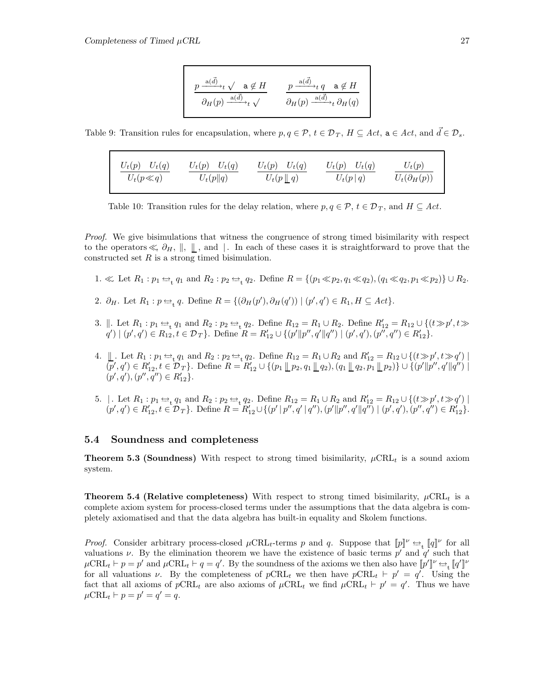$$
\frac{p\xrightarrow{\mathbf{a}(\vec{d})} t \sqrt{\mathbf{a}\notin H}\qquad p\xrightarrow{\mathbf{a}(\vec{d})} t \ q\quad \mathbf{a}\notin H}{\partial_H(p)\xrightarrow{\mathbf{a}(\vec{d})} t \ \partial_H(p)\xrightarrow{\mathbf{a}(\vec{d})} t \ \partial_H(q)}
$$

Table 9: Transition rules for encapsulation, where  $p, q \in \mathcal{P}, t \in \mathcal{D}_T, H \subseteq Act$ ,  $a \in Act$ , and  $\vec{d} \in \mathcal{D}_s$ .

| $U_t(p)$ $U_t(q)$ | $U_t(p)$ $U_t(q)$ | $U_t(p)$ $U_t(q)$   | $U_t(p)$ $U_t(q)$ | $U_t(p)$             |
|-------------------|-------------------|---------------------|-------------------|----------------------|
| $U_t(p \ll q)$    | $U_t(p  q)$       | $U_t(p\parallel q)$ | $U_t(p q)$        | $U_t(\partial_H(p))$ |

Table 10: Transition rules for the delay relation, where  $p, q \in \mathcal{P}, t \in \mathcal{D}_T$ , and  $H \subseteq Act$ .

Proof. We give bisimulations that witness the congruence of strong timed bisimilarity with respect to the operators  $\ll \partial_H$ ,  $\parallel$ ,  $\parallel$ , and  $\parallel$ . In each of these cases it is straightforward to prove that the constructed set  $R$  is a strong timed bisimulation.

- 1.  $\ll$  Let  $R_1 : p_1 \Leftrightarrow q_1$  and  $R_2 : p_2 \Leftrightarrow q_2$ . Define  $R = \{(p_1 \ll p_2, q_1 \ll q_2), (q_1 \ll q_2, p_1 \ll p_2)\} \cup R_2$ .
- 2.  $\partial_H$ . Let  $R_1: p \rightleftharpoons_t q$ . Define  $R = \{(\partial_H(p'), \partial_H(q')) \mid (p', q') \in R_1, H \subseteq Act\}.$
- 3.  $\parallel$ . Let  $R_1 : p_1 \Leftrightarrow q_1$  and  $R_2 : p_2 \Leftrightarrow q_2$ . Define  $R_{12} = R_1 \cup R_2$ . Define  $R'_{12} = R_{12} \cup \{(t \gg p', t \gg p')\}$  $q' | (p', q') \in R_{12}, t \in \mathcal{D}_T$ . Define  $R = R'_{12} \cup \{ (p' || p'', q' || q'') | (p', q'), (p'', q'') \in R'_{12} \}.$
- 4.  $\Box$  Let  $R_1 : p_1 \Leftrightarrow_t q_1$  and  $R_2 : p_2 \Leftrightarrow_t q_2$ . Define  $R_{12} = R_1 \cup R_2$  and  $R'_{12} = R_{12} \cup \{(t \gg p', t \gg q') \mid t \gg p' \land t \gg q' \}$  $(p', q') \in R'_{12}, t \in \mathcal{D}_T$ . Define  $R = R'_{12} \cup \{(p_1 \mathbin{\parallel} p_2, q_1 \mathbin{\parallel} q_2), (q_1 \mathbin{\parallel} q_2, p_1 \mathbin{\parallel} p_2)\} \cup \{(p' \mathbin{\parallel} p'', q' \mathbin{\parallel} q'') \mathbin{\parallel} q''\}$  $(p', q'), (p'', q'') \in R'_{12}$ .
- 5. | . Let  $R_1: p_1 \Leftrightarrow q_1$  and  $R_2: p_2 \Leftrightarrow q_2$ . Define  $R_{12} = R_1 \cup R_2$  and  $R'_{12} = R_{12} \cup \{(t \gg p', t \gg q') \mid t \gg p' \land t \gg q' \}$  $(p', q') \in R'_{12}, t \in \mathcal{D}_T$ . Define  $R = R'_{12} \cup \{(p' | p'', q' | q''), (p' || p'', q' || q'') \mid (p', q'), (p'', q'') \in R'_{12}\}.$

#### **5.4 Soundness and completeness**

**Theorem 5.3 (Soundness)** With respect to strong timed bisimilarity,  $\mu$ CRL<sub>t</sub> is a sound axiom system.

**Theorem 5.4 (Relative completeness)** With respect to strong timed bisimilarity,  $\mu$ CRL<sub>t</sub> is a complete axiom system for process-closed terms under the assumptions that the data algebra is completely axiomatised and that the data algebra has built-in equality and Skolem functions.

*Proof.* Consider arbitrary process-closed  $\mu$ CRL<sub>t</sub>-terms p and q. Suppose that  $[\![p]\!]^\nu \rightleftharpoons_{\leftarrow} [\![q]\!]^\nu$  for all valuations  $\nu$ . By the elimination theorem we have the existence of basic terms  $p'$  and  $q'$  such that  $\mu$ CRL<sub>t</sub>  $\vdash p = p'$  and  $\mu$ CRL<sub>t</sub>  $\vdash q = q'$ . By the soundness of the axioms we then also have  $[\![p']\!]^{\nu} \rightleftharpoons_{\mathfrak{t}} [\![q']\!]^{\nu}$ for all valuations  $\nu$ . By the completeness of  $p\text{CRL}_t$  we then have  $p\text{CRL}_t \vdash p' = q'$ . Using the fact that all axioms of  $p\text{CRL}_t$  are also axioms of  $\mu\text{CRL}_t$  we find  $\mu\text{CRL}_t \vdash p' = q'$ . Thus we have  $\mu$ CRL<sub>t</sub>  $\vdash p = p' = q' = q$ .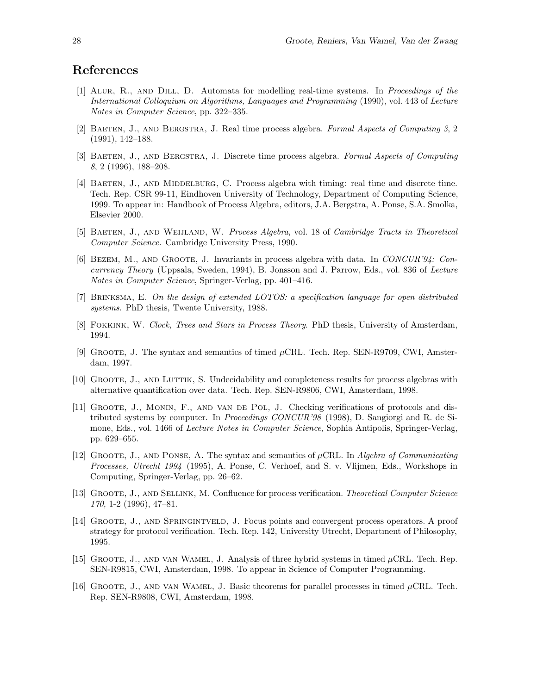# **References**

- [1] Alur, R., and Dill, D. Automata for modelling real-time systems. In Proceedings of the International Colloquium on Algorithms, Languages and Programming (1990), vol. 443 of Lecture Notes in Computer Science, pp. 322–335.
- [2] Baeten, J., and Bergstra, J. Real time process algebra. Formal Aspects of Computing 3, 2 (1991), 142–188.
- [3] BAETEN, J., AND BERGSTRA, J. Discrete time process algebra. Formal Aspects of Computing 8, 2 (1996), 188–208.
- [4] BAETEN, J., AND MIDDELBURG, C. Process algebra with timing: real time and discrete time. Tech. Rep. CSR 99-11, Eindhoven University of Technology, Department of Computing Science, 1999. To appear in: Handbook of Process Algebra, editors, J.A. Bergstra, A. Ponse, S.A. Smolka, Elsevier 2000.
- [5] BAETEN, J., AND WEIJLAND, W. Process Algebra, vol. 18 of Cambridge Tracts in Theoretical Computer Science. Cambridge University Press, 1990.
- [6] Bezem, M., and Groote, J. Invariants in process algebra with data. In CONCUR'94: Concurrency Theory (Uppsala, Sweden, 1994), B. Jonsson and J. Parrow, Eds., vol. 836 of Lecture Notes in Computer Science, Springer-Verlag, pp. 401–416.
- [7] Brinksma, E. On the design of extended LOTOS: a specification language for open distributed systems. PhD thesis, Twente University, 1988.
- [8] FOKKINK, W. Clock, Trees and Stars in Process Theory. PhD thesis, University of Amsterdam, 1994.
- [9] Groote, J. The syntax and semantics of timed µCRL. Tech. Rep. SEN-R9709, CWI, Amsterdam, 1997.
- [10] GROOTE, J., AND LUTTIK, S. Undecidability and completeness results for process algebras with alternative quantification over data. Tech. Rep. SEN-R9806, CWI, Amsterdam, 1998.
- [11] Groote, J., Monin, F., and van de Pol, J. Checking verifications of protocols and distributed systems by computer. In Proceedings CONCUR'98 (1998), D. Sangiorgi and R. de Simone, Eds., vol. 1466 of *Lecture Notes in Computer Science*, Sophia Antipolis, Springer-Verlag, pp. 629–655.
- [12] GROOTE, J., AND PONSE, A. The syntax and semantics of  $\mu$ CRL. In Algebra of Communicating Processes, Utrecht 1994 (1995), A. Ponse, C. Verhoef, and S. v. Vlijmen, Eds., Workshops in Computing, Springer-Verlag, pp. 26–62.
- [13] Groote, J., and Sellink, M. Confluence for process verification. Theoretical Computer Science 170, 1-2 (1996), 47–81.
- [14] Groote, J., and Springintveld, J. Focus points and convergent process operators. A proof strategy for protocol verification. Tech. Rep. 142, University Utrecht, Department of Philosophy, 1995.
- [15] GROOTE, J., AND VAN WAMEL, J. Analysis of three hybrid systems in timed  $\mu$ CRL. Tech. Rep. SEN-R9815, CWI, Amsterdam, 1998. To appear in Science of Computer Programming.
- [16] GROOTE, J., AND VAN WAMEL, J. Basic theorems for parallel processes in timed  $\mu$ CRL. Tech. Rep. SEN-R9808, CWI, Amsterdam, 1998.